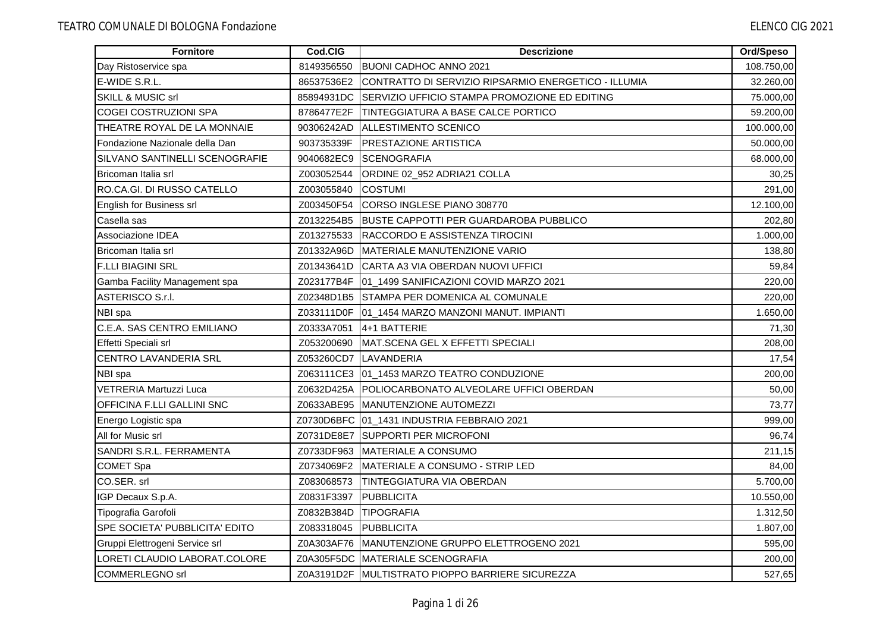| <b>Fornitore</b>                      | Cod.CIG    | <b>Descrizione</b>                                   | Ord/Speso  |
|---------------------------------------|------------|------------------------------------------------------|------------|
| Day Ristoservice spa                  | 8149356550 | <b>BUONI CADHOC ANNO 2021</b>                        | 108.750,00 |
| E-WIDE S.R.L.                         | 86537536E2 | CONTRATTO DI SERVIZIO RIPSARMIO ENERGETICO - ILLUMIA | 32.260,00  |
| <b>SKILL &amp; MUSIC srl</b>          | 85894931DC | SERVIZIO UFFICIO STAMPA PROMOZIONE ED EDITING        | 75.000,00  |
| <b>COGEI COSTRUZIONI SPA</b>          | 8786477E2F | <b>TINTEGGIATURA A BASE CALCE PORTICO</b>            | 59.200,00  |
| THEATRE ROYAL DE LA MONNAIE           | 90306242AD | ALLESTIMENTO SCENICO                                 | 100.000,00 |
| Fondazione Nazionale della Dan        | 903735339F | <b>PRESTAZIONE ARTISTICA</b>                         | 50.000,00  |
| <b>SILVANO SANTINELLI SCENOGRAFIE</b> | 9040682EC9 | <b>ISCENOGRAFIA</b>                                  | 68.000,00  |
| Bricoman Italia srl                   | Z003052544 | ORDINE 02_952 ADRIA21 COLLA                          | 30,25      |
| RO.CA.GI. DI RUSSO CATELLO            | Z003055840 | <b>COSTUMI</b>                                       | 291,00     |
| English for Business srl              | Z003450F54 | CORSO INGLESE PIANO 308770                           | 12.100,00  |
| Casella sas                           | Z0132254B5 | <b>BUSTE CAPPOTTI PER GUARDAROBA PUBBLICO</b>        | 202,80     |
| Associazione IDEA                     | Z013275533 | RACCORDO E ASSISTENZA TIROCINI                       | 1.000,00   |
| Bricoman Italia srl                   | Z01332A96D | MATERIALE MANUTENZIONE VARIO                         | 138,80     |
| <b>F.LLI BIAGINI SRL</b>              | Z01343641D | ICARTA A3 VIA OBERDAN NUOVI UFFICI                   | 59,84      |
| Gamba Facility Management spa         |            | Z023177B4F 01_1499 SANIFICAZIONI COVID MARZO 2021    | 220,00     |
| ASTERISCO S.r.l.                      |            | Z02348D1B5 STAMPA PER DOMENICA AL COMUNALE           | 220,00     |
| NBI spa                               |            | Z033111D0F 01_1454 MARZO MANZONI MANUT. IMPIANTI     | 1.650,00   |
| C.E.A. SAS CENTRO EMILIANO            |            | Z0333A7051 4+1 BATTERIE                              | 71,30      |
| Effetti Speciali srl                  | Z053200690 | MAT.SCENA GEL X EFFETTI SPECIALI                     | 208,00     |
| <b>CENTRO LAVANDERIA SRL</b>          |            | Z053260CD7 LAVANDERIA                                | 17,54      |
| NBI spa                               |            | Z063111CE3 01_1453 MARZO TEATRO CONDUZIONE           | 200,00     |
| <b>VETRERIA Martuzzi Luca</b>         | Z0632D425A | POLIOCARBONATO ALVEOLARE UFFICI OBERDAN              | 50,00      |
| OFFICINA F.LLI GALLINI SNC            |            | Z0633ABE95 MANUTENZIONE AUTOMEZZI                    | 73,77      |
| Energo Logistic spa                   |            | Z0730D6BFC 01_1431 INDUSTRIA FEBBRAIO 2021           | 999,00     |
| All for Music srl                     |            | Z0731DE8E7 SUPPORTI PER MICROFONI                    | 96,74      |
| SANDRI S.R.L. FERRAMENTA              | Z0733DF963 | <b>MATERIALE A CONSUMO</b>                           | 211,15     |
| <b>COMET Spa</b>                      | Z0734069F2 | MATERIALE A CONSUMO - STRIP LED                      | 84,00      |
| CO.SER. srl                           | Z083068573 | TINTEGGIATURA VIA OBERDAN                            | 5.700,00   |
| IGP Decaux S.p.A.                     | Z0831F3397 | <b>IPUBBLICITA</b>                                   | 10.550,00  |
| Tipografia Garofoli                   | Z0832B384D | <b>TIPOGRAFIA</b>                                    | 1.312,50   |
| SPE SOCIETA' PUBBLICITA' EDITO        | Z083318045 | PUBBLICITA                                           | 1.807,00   |
| Gruppi Elettrogeni Service srl        | Z0A303AF76 | <b>IMANUTENZIONE GRUPPO ELETTROGENO 2021</b>         | 595,00     |
| LORETI CLAUDIO LABORAT.COLORE         |            | Z0A305F5DC MATERIALE SCENOGRAFIA                     | 200,00     |
| <b>COMMERLEGNO</b> srl                |            | Z0A3191D2F MULTISTRATO PIOPPO BARRIERE SICUREZZA     | 527,65     |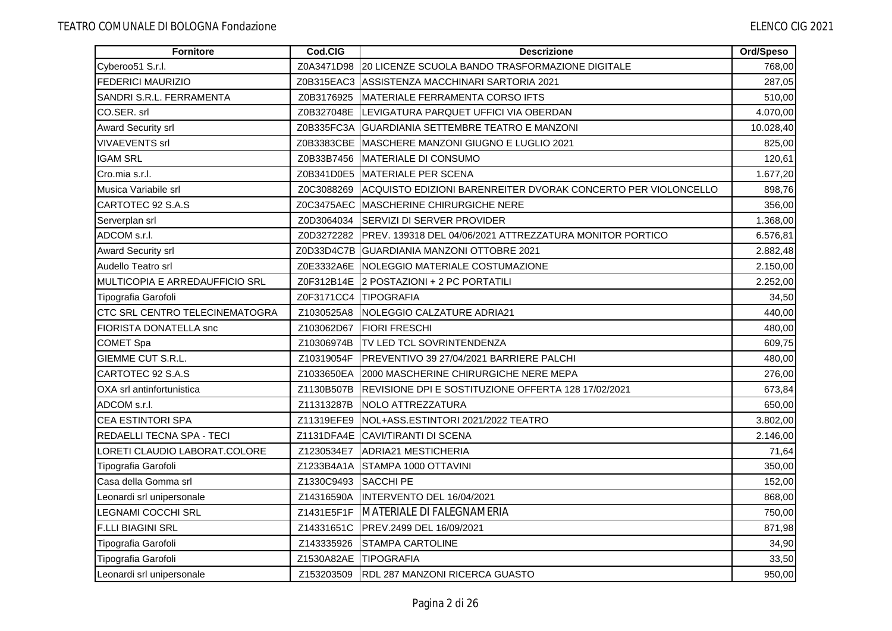| Fornitore                             | Cod.CIG               | <b>Descrizione</b>                                                  | Ord/Speso |
|---------------------------------------|-----------------------|---------------------------------------------------------------------|-----------|
| Cyberoo51 S.r.l.                      | Z0A3471D98            | <u>I20 LICENZE SCUOLA BANDO TRASFORMAZIONE DIGITALE</u>             | 768,00    |
| <b>FEDERICI MAURIZIO</b>              |                       | Z0B315EAC3   ASSISTENZA MACCHINARI SARTORIA 2021                    | 287,05    |
| SANDRI S.R.L. FERRAMENTA              | Z0B3176925            | <b>IMATERIALE FERRAMENTA CORSO IFTS</b>                             | 510,00    |
| CO.SER. srl                           |                       | Z0B327048E LEVIGATURA PARQUET UFFICI VIA OBERDAN                    | 4.070,00  |
| <b>Award Security srl</b>             |                       | Z0B335FC3A GUARDIANIA SETTEMBRE TEATRO E MANZONI                    | 10.028,40 |
| <b>VIVAEVENTS srl</b>                 |                       | Z0B3383CBE IMASCHERE MANZONI GIUGNO E LUGLIO 2021                   | 825,00    |
| <b>IGAM SRL</b>                       |                       | Z0B33B7456   MATERIALE DI CONSUMO                                   | 120,61    |
| Cro.mia s.r.l.                        |                       | Z0B341D0E5 MATERIALE PER SCENA                                      | 1.677,20  |
| Musica Variabile srl                  | Z0C3088269            | ACQUISTO EDIZIONI BARENREITER DVORAK CONCERTO PER VIOLONCELLO       | 898,76    |
| CARTOTEC 92 S.A.S                     |                       | Z0C3475AEC IMASCHERINE CHIRURGICHE NERE                             | 356,00    |
| Serverplan srl                        |                       | Z0D3064034 SERVIZI DI SERVER PROVIDER                               | 1.368,00  |
| ADCOM s.r.l.                          |                       | Z0D3272282 PREV. 139318 DEL 04/06/2021 ATTREZZATURA MONITOR PORTICO | 6.576,81  |
| Award Security srl                    |                       | Z0D33D4C7B GUARDIANIA MANZONI OTTOBRE 2021                          | 2.882,48  |
| Audello Teatro srl                    |                       | Z0E3332A6E INOLEGGIO MATERIALE COSTUMAZIONE                         | 2.150,00  |
| MULTICOPIA E ARREDAUFFICIO SRL        |                       | Z0F312B14E 2 POSTAZIONI + 2 PC PORTATILI                            | 2.252,00  |
| Tipografia Garofoli                   | Z0F3171CC4 TIPOGRAFIA |                                                                     | 34,50     |
| <b>CTC SRL CENTRO TELECINEMATOGRA</b> | Z1030525A8            | NOLEGGIO CALZATURE ADRIA21                                          | 440,00    |
| FIORISTA DONATELLA snc                | Z103062D67            | <b>FIORI FRESCHI</b>                                                | 480,00    |
| COMET Spa                             | Z10306974B            | <b>TV LED TCL SOVRINTENDENZA</b>                                    | 609,75    |
| GIEMME CUT S.R.L.                     |                       | Z10319054F   PREVENTIVO 39 27/04/2021 BARRIERE PALCHI               | 480,00    |
| CARTOTEC 92 S.A.S                     | Z1033650EA            | 2000 MASCHERINE CHIRURGICHE NERE MEPA                               | 276,00    |
| OXA srl antinfortunistica             | Z1130B507B            | <b>IREVISIONE DPI E SOSTITUZIONE OFFERTA 128 17/02/2021</b>         | 673,84    |
| ADCOM s.r.l.                          | Z11313287B            | NOLO ATTREZZATURA                                                   | 650,00    |
| <b>CEA ESTINTORI SPA</b>              | Z11319EFE9            | NOL+ASS.ESTINTORI 2021/2022 TEATRO                                  | 3.802,00  |
| REDAELLI TECNA SPA - TECI             |                       | Z1131DFA4E CAVI/TIRANTI DI SCENA                                    | 2.146,00  |
| LORETI CLAUDIO LABORAT.COLORE         | Z1230534E7            | <b>ADRIA21 MESTICHERIA</b>                                          | 71,64     |
| Tipografia Garofoli                   | Z1233B4A1A            | STAMPA 1000 OTTAVINI                                                | 350,00    |
| Casa della Gomma srl                  | Z1330C9493            | <b>SACCHI PE</b>                                                    | 152,00    |
| Leonardi srl unipersonale             | Z14316590A            | <b>INTERVENTO DEL 16/04/2021</b>                                    | 868,00    |
| <b>LEGNAMI COCCHI SRL</b>             | Z1431E5F1F            | MATERIALE DI FALEGNAMERIA                                           | 750,00    |
| <b>F.LLI BIAGINI SRL</b>              |                       | Z14331651C   PREV.2499 DEL 16/09/2021                               | 871,98    |
| Tipografia Garofoli                   | Z143335926            | <b>ISTAMPA CARTOLINE</b>                                            | 34,90     |
| Tipografia Garofoli                   | Z1530A82AE TIPOGRAFIA |                                                                     | 33,50     |
| Leonardi srl unipersonale             |                       | Z153203509 RDL 287 MANZONI RICERCA GUASTO                           | 950,00    |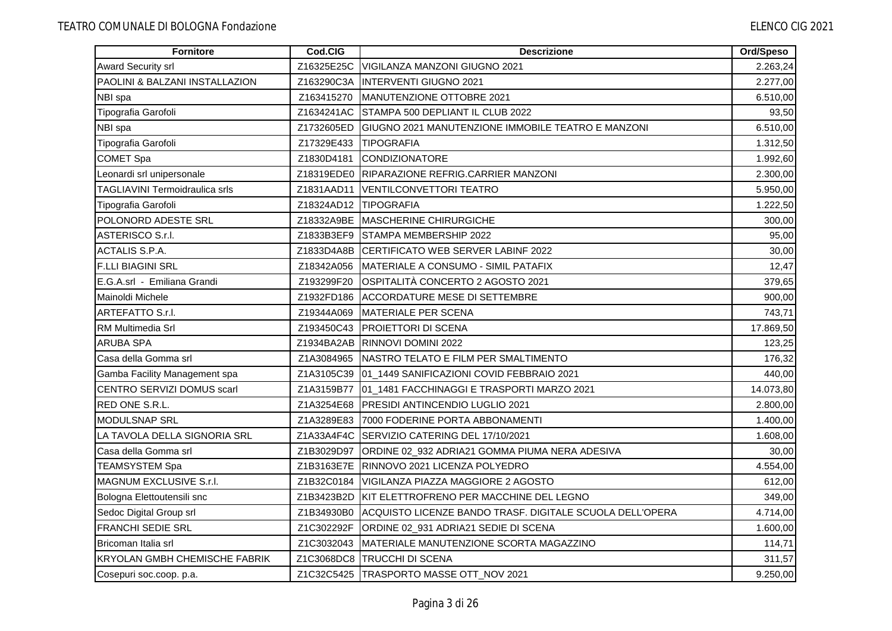| Fornitore                            | Cod.CIG               | <b>Descrizione</b>                                       | Ord/Speso |
|--------------------------------------|-----------------------|----------------------------------------------------------|-----------|
| <b>Award Security srl</b>            | Z16325E25C            | VIGILANZA MANZONI GIUGNO 2021                            | 2.263,24  |
| PAOLINI & BALZANI INSTALLAZION       | Z163290C3A            | <b>INTERVENTI GIUGNO 2021</b>                            | 2.277,00  |
| NBI spa                              | Z163415270            | <b>IMANUTENZIONE OTTOBRE 2021</b>                        | 6.510,00  |
| Tipografia Garofoli                  | Z1634241AC            | STAMPA 500 DEPLIANT IL CLUB 2022                         | 93,50     |
| NBI spa                              | Z1732605ED            | GIUGNO 2021 MANUTENZIONE IMMOBILE TEATRO E MANZONI       | 6.510,00  |
| Tipografia Garofoli                  | Z17329E433            | <b>ITIPOGRAFIA</b>                                       | 1.312,50  |
| <b>COMET Spa</b>                     | Z1830D4181            | CONDIZIONATORE                                           | 1.992,60  |
| Leonardi srl unipersonale            |                       | Z18319EDE0 RIPARAZIONE REFRIG.CARRIER MANZONI            | 2.300,00  |
| TAGLIAVINI Termoidraulica srls       | Z1831AAD11            | <b>VENTILCONVETTORI TEATRO</b>                           | 5.950,00  |
| Tipografia Garofoli                  | Z18324AD12 TIPOGRAFIA |                                                          | 1.222,50  |
| POLONORD ADESTE SRL                  | Z18332A9BE            | MASCHERINE CHIRURGICHE                                   | 300,00    |
| ASTERISCO S.r.I.                     |                       | Z1833B3EF9 STAMPA MEMBERSHIP 2022                        | 95,00     |
| ACTALIS S.P.A.                       |                       | Z1833D4A8B CERTIFICATO WEB SERVER LABINF 2022            | 30,00     |
| <b>F.LLI BIAGINI SRL</b>             | Z18342A056            | IMATERIALE A CONSUMO - SIMIL PATAFIX                     | 12,47     |
| E.G.A.srl - Emiliana Grandi          | Z193299F20            | OSPITALITÀ CONCERTO 2 AGOSTO 2021                        | 379,65    |
| Mainoldi Michele                     | Z1932FD186            | <b>ACCORDATURE MESE DI SETTEMBRE</b>                     | 900,00    |
| ARTEFATTO S.r.I.                     | Z19344A069            | MATERIALE PER SCENA                                      | 743,71    |
| RM Multimedia Srl                    | Z193450C43            | <b>PROIETTORI DI SCENA</b>                               | 17.869,50 |
| ARUBA SPA                            |                       | Z1934BA2AB RINNOVI DOMINI 2022                           | 123,25    |
| Casa della Gomma srl                 |                       | Z1A3084965 NASTRO TELATO E FILM PER SMALTIMENTO          | 176,32    |
| Gamba Facility Management spa        |                       | Z1A3105C39 01_1449 SANIFICAZIONI COVID FEBBRAIO 2021     | 440,00    |
| CENTRO SERVIZI DOMUS scarl           | Z1A3159B77            | 01_1481 FACCHINAGGI E TRASPORTI MARZO 2021               | 14.073,80 |
| RED ONE S.R.L.                       | Z1A3254E68            | <b>PRESIDI ANTINCENDIO LUGLIO 2021</b>                   | 2.800,00  |
| <b>MODULSNAP SRL</b>                 | Z1A3289E83            | 7000 FODERINE PORTA ABBONAMENTI                          | 1.400,00  |
| LA TAVOLA DELLA SIGNORIA SRL         |                       | Z1A33A4F4C SERVIZIO CATERING DEL 17/10/2021              | 1.608,00  |
| Casa della Gomma srl                 | Z1B3029D97            | ORDINE 02_932 ADRIA21 GOMMA PIUMA NERA ADESIVA           | 30,00     |
| <b>TEAMSYSTEM Spa</b>                |                       | Z1B3163E7E RINNOVO 2021 LICENZA POLYEDRO                 | 4.554,00  |
| MAGNUM EXCLUSIVE S.r.l.              |                       | Z1B32C0184   VIGILANZA PIAZZA MAGGIORE 2 AGOSTO          | 612,00    |
| Bologna Elettoutensili snc           | Z1B3423B2D            | <b>IKIT ELETTROFRENO PER MACCHINE DEL LEGNO</b>          | 349,00    |
| Sedoc Digital Group srl              | Z1B34930B0            | ACQUISTO LICENZE BANDO TRASF. DIGITALE SCUOLA DELL'OPERA | 4.714,00  |
| <b>FRANCHI SEDIE SRL</b>             | Z1C302292F            | ORDINE 02_931 ADRIA21 SEDIE DI SCENA                     | 1.600,00  |
| Bricoman Italia srl                  | Z1C3032043            | MATERIALE MANUTENZIONE SCORTA MAGAZZINO                  | 114,71    |
| <b>KRYOLAN GMBH CHEMISCHE FABRIK</b> |                       | Z1C3068DC8 TRUCCHI DI SCENA                              | 311,57    |
| Cosepuri soc.coop. p.a.              |                       | Z1C32C5425   TRASPORTO MASSE OTT_NOV 2021                | 9.250,00  |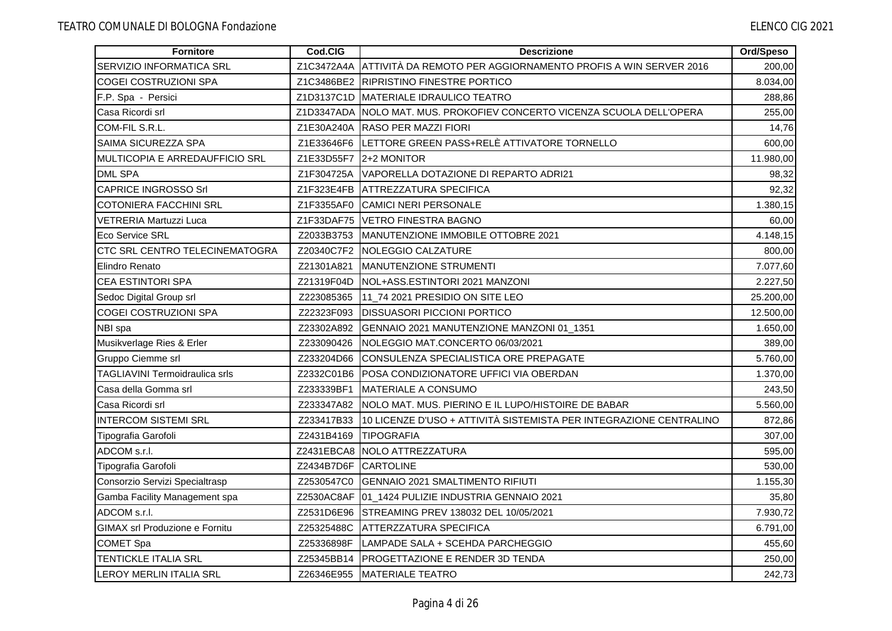| <b>Fornitore</b>                      | Cod.CIG    | <b>Descrizione</b>                                                       | Ord/Speso |
|---------------------------------------|------------|--------------------------------------------------------------------------|-----------|
| SERVIZIO INFORMATICA SRL              |            | Z1C3472A4A ATTIVITÀ DA REMOTO PER AGGIORNAMENTO PROFIS A WIN SERVER 2016 | 200,00    |
| <b>COGEI COSTRUZIONI SPA</b>          |            | Z1C3486BE2 RIPRISTINO FINESTRE PORTICO                                   | 8.034,00  |
| F.P. Spa - Persici                    |            | Z1D3137C1D MATERIALE IDRAULICO TEATRO                                    | 288,86    |
| Casa Ricordi srl                      |            | Z1D3347ADA NOLO MAT. MUS. PROKOFIEV CONCERTO VICENZA SCUOLA DELL'OPERA   | 255,00    |
| COM-FIL S.R.L.                        | Z1E30A240A | <b>RASO PER MAZZI FIORI</b>                                              | 14,76     |
| SAIMA SICUREZZA SPA                   |            | Z1E33646F6 LETTORE GREEN PASS+RELÈ ATTIVATORE TORNELLO                   | 600,00    |
| MULTICOPIA E ARREDAUFFICIO SRL        |            | Z1E33D55F7   2+2 MONITOR                                                 | 11.980,00 |
| <b>DML SPA</b>                        | Z1F304725A | VAPORELLA DOTAZIONE DI REPARTO ADRI21                                    | 98,32     |
| <b>CAPRICE INGROSSO Srl</b>           | Z1F323E4FB | <b>ATTREZZATURA SPECIFICA</b>                                            | 92,32     |
| <b>COTONIERA FACCHINI SRL</b>         | Z1F3355AF0 | <b>CAMICI NERI PERSONALE</b>                                             | 1.380,15  |
| <b>VETRERIA Martuzzi Luca</b>         | Z1F33DAF75 | VETRO FINESTRA BAGNO                                                     | 60,00     |
| Eco Service SRL                       | Z2033B3753 | MANUTENZIONE IMMOBILE OTTOBRE 2021                                       | 4.148,15  |
| CTC SRL CENTRO TELECINEMATOGRA        |            | Z20340C7F2 NOLEGGIO CALZATURE                                            | 800,00    |
| Elindro Renato                        | Z21301A821 | MANUTENZIONE STRUMENTI                                                   | 7.077,60  |
| <b>CEA ESTINTORI SPA</b>              | Z21319F04D | NOL+ASS.ESTINTORI 2021 MANZONI                                           | 2.227,50  |
| Sedoc Digital Group srl               | Z223085365 | 11_74 2021 PRESIDIO ON SITE LEO                                          | 25.200,00 |
| COGEI COSTRUZIONI SPA                 | Z22323F093 | <b>DISSUASORI PICCIONI PORTICO</b>                                       | 12.500,00 |
| NBI spa                               | Z23302A892 | GENNAIO 2021 MANUTENZIONE MANZONI 01_1351                                | 1.650,00  |
| Musikverlage Ries & Erler             | Z233090426 | NOLEGGIO MAT.CONCERTO 06/03/2021                                         | 389,00    |
| Gruppo Ciemme srl                     | Z233204D66 | CONSULENZA SPECIALISTICA ORE PREPAGATE                                   | 5.760,00  |
| <b>TAGLIAVINI Termoidraulica srls</b> | Z2332C01B6 | POSA CONDIZIONATORE UFFICI VIA OBERDAN                                   | 1.370,00  |
| Casa della Gomma srl                  | Z233339BF1 | MATERIALE A CONSUMO                                                      | 243,50    |
| Casa Ricordi srl                      | Z233347A82 | NOLO MAT. MUS. PIERINO E IL LUPO/HISTOIRE DE BABAR                       | 5.560,00  |
| <b>INTERCOM SISTEMI SRL</b>           | Z233417B33 | 10 LICENZE D'USO + ATTIVITÀ SISTEMISTA PER INTEGRAZIONE CENTRALINO       | 872,86    |
| Tipografia Garofoli                   | Z2431B4169 | <b>TIPOGRAFIA</b>                                                        | 307,00    |
| ADCOM s.r.l.                          |            | Z2431EBCA8 NOLO ATTREZZATURA                                             | 595,00    |
| Tipografia Garofoli                   | Z2434B7D6F | CARTOLINE                                                                | 530,00    |
| Consorzio Servizi Specialtrasp        | Z2530547C0 | <b>GENNAIO 2021 SMALTIMENTO RIFIUTI</b>                                  | 1.155,30  |
| Gamba Facility Management spa         |            | Z2530AC8AF 01_1424 PULIZIE INDUSTRIA GENNAIO 2021                        | 35,80     |
| ADCOM s.r.l.                          | Z2531D6E96 | <b>ISTREAMING PREV 138032 DEL 10/05/2021</b>                             | 7.930,72  |
| <b>GIMAX srl Produzione e Fornitu</b> | Z25325488C | <b>ATTERZZATURA SPECIFICA</b>                                            | 6.791,00  |
| <b>COMET Spa</b>                      | Z25336898F | LAMPADE SALA + SCEHDA PARCHEGGIO                                         | 455,60    |
| <b>TENTICKLE ITALIA SRL</b>           | Z25345BB14 | <b>PROGETTAZIONE E RENDER 3D TENDA</b>                                   | 250,00    |
| LEROY MERLIN ITALIA SRL               |            | Z26346E955   MATERIALE TEATRO                                            | 242,73    |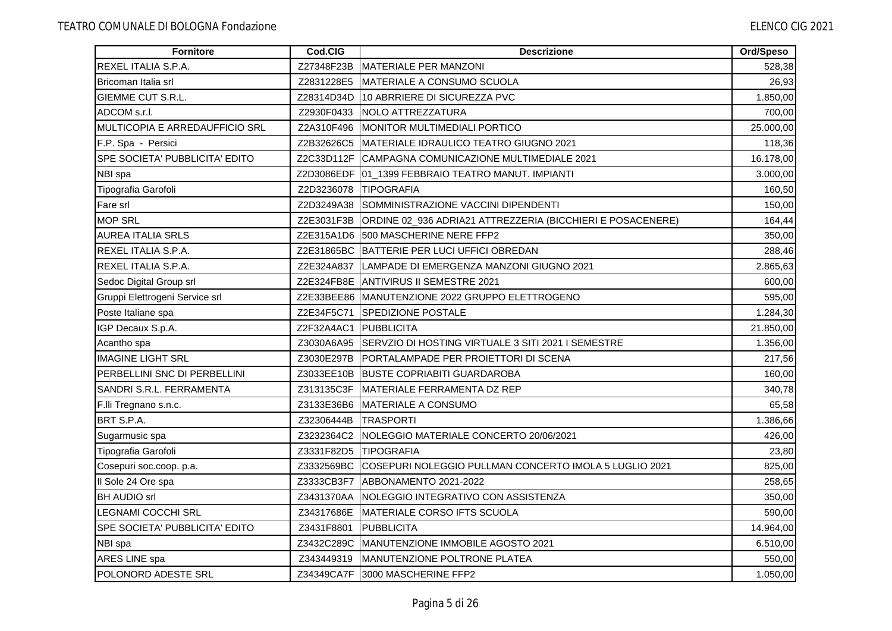| <b>Fornitore</b>                      | Cod.CIG               | <b>Descrizione</b>                                                    | Ord/Speso |
|---------------------------------------|-----------------------|-----------------------------------------------------------------------|-----------|
| REXEL ITALIA S.P.A.                   | Z27348F23B            | <b>IMATERIALE PER MANZONI</b>                                         | 528,38    |
| Bricoman Italia srl                   | Z2831228E5            | <b>IMATERIALE A CONSUMO SCUOLA</b>                                    | 26,93     |
| <b>GIEMME CUT S.R.L.</b>              | Z28314D34D            | 10 ABRRIERE DI SICUREZZA PVC                                          | 1.850,00  |
| ADCOM s.r.l.                          | Z2930F0433            | NOLO ATTREZZATURA                                                     | 700,00    |
| MULTICOPIA E ARREDAUFFICIO SRL        | Z2A310F496            | MONITOR MULTIMEDIALI PORTICO                                          | 25.000,00 |
| F.P. Spa - Persici                    |                       | Z2B32626C5 MATERIALE IDRAULICO TEATRO GIUGNO 2021                     | 118,36    |
| <b>SPE SOCIETA' PUBBLICITA' EDITO</b> |                       | Z2C33D112F CAMPAGNA COMUNICAZIONE MULTIMEDIALE 2021                   | 16.178,00 |
| NBI spa                               |                       | Z2D3086EDF 01_1399 FEBBRAIO TEATRO MANUT. IMPIANTI                    | 3.000,00  |
| Tipografia Garofoli                   | Z2D3236078            | <b>TIPOGRAFIA</b>                                                     | 160,50    |
| Fare srl                              | Z2D3249A38            | SOMMINISTRAZIONE VACCINI DIPENDENTI                                   | 150,00    |
| <b>MOP SRL</b>                        |                       | Z2E3031F3B ORDINE 02_936 ADRIA21 ATTREZZERIA (BICCHIERI E POSACENERE) | 164,44    |
| <b>AUREA ITALIA SRLS</b>              |                       | Z2E315A1D6 500 MASCHERINE NERE FFP2                                   | 350,00    |
| REXEL ITALIA S.P.A.                   |                       | Z2E31865BC BATTERIE PER LUCI UFFICI OBREDAN                           | 288,46    |
| REXEL ITALIA S.P.A.                   |                       | Z2E324A837 LAMPADE DI EMERGENZA MANZONI GIUGNO 2021                   | 2.865,63  |
| Sedoc Digital Group srl               |                       | Z2E324FB8E ANTIVIRUS II SEMESTRE 2021                                 | 600,00    |
| Gruppi Elettrogeni Service srl        |                       | Z2E33BEE86 MANUTENZIONE 2022 GRUPPO ELETTROGENO                       | 595,00    |
| Poste Italiane spa                    | Z2E34F5C71            | <b>SPEDIZIONE POSTALE</b>                                             | 1.284,30  |
| IGP Decaux S.p.A.                     | Z2F32A4AC1 PUBBLICITA |                                                                       | 21.850,00 |
| Acantho spa                           |                       | Z3030A6A95 SERVZIO DI HOSTING VIRTUALE 3 SITI 2021 I SEMESTRE         | 1.356,00  |
| <b>IMAGINE LIGHT SRL</b>              |                       | Z3030E297B   PORTALAMPADE PER PROIETTORI DI SCENA                     | 217,56    |
| PERBELLINI SNC DI PERBELLINI          | Z3033EE10B            | <b>BUSTE COPRIABITI GUARDAROBA</b>                                    | 160,00    |
| SANDRI S.R.L. FERRAMENTA              | Z313135C3F            | MATERIALE FERRAMENTA DZ REP                                           | 340,78    |
| F.IIi Tregnano s.n.c.                 | Z3133E36B6            | MATERIALE A CONSUMO                                                   | 65,58     |
| BRT S.P.A.                            | Z32306444B            | <b>ITRASPORTI</b>                                                     | 1.386,66  |
| Sugarmusic spa                        | Z3232364C2            | NOLEGGIO MATERIALE CONCERTO 20/06/2021                                | 426,00    |
| Tipografia Garofoli                   | Z3331F82D5 TIPOGRAFIA |                                                                       | 23,80     |
| Cosepuri soc.coop. p.a.               |                       | Z3332569BC COSEPURI NOLEGGIO PULLMAN CONCERTO IMOLA 5 LUGLIO 2021     | 825,00    |
| Il Sole 24 Ore spa                    | Z3333CB3F7            | ABBONAMENTO 2021-2022                                                 | 258,65    |
| <b>BH AUDIO srl</b>                   | Z3431370AA            | INOLEGGIO INTEGRATIVO CON ASSISTENZA                                  | 350,00    |
| <b>LEGNAMI COCCHI SRL</b>             | Z34317686E            | MATERIALE CORSO IFTS SCUOLA                                           | 590,00    |
| SPE SOCIETA' PUBBLICITA' EDITO        | Z3431F8801            | PUBBLICITA                                                            | 14.964,00 |
| NBI spa                               |                       | Z3432C289C MANUTENZIONE IMMOBILE AGOSTO 2021                          | 6.510,00  |
| ARES LINE spa                         | Z343449319            | <b>IMANUTENZIONE POLTRONE PLATEA</b>                                  | 550,00    |
| <b>POLONORD ADESTE SRL</b>            |                       | Z34349CA7F 3000 MASCHERINE FFP2                                       | 1.050,00  |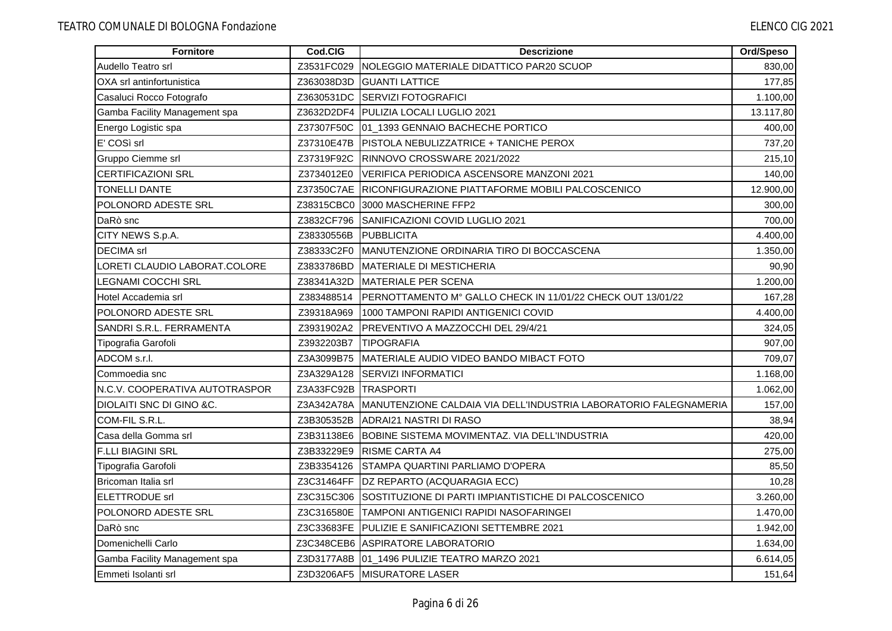| <b>Fornitore</b>               | Cod.CIG    | <b>Descrizione</b>                                               | Ord/Speso |
|--------------------------------|------------|------------------------------------------------------------------|-----------|
| Audello Teatro srl             | Z3531FC029 | NOLEGGIO MATERIALE DIDATTICO PAR20 SCUOP                         | 830,00    |
| OXA srl antinfortunistica      | Z363038D3D | <b>GUANTI LATTICE</b>                                            | 177,85    |
| Casaluci Rocco Fotografo       | Z3630531DC | <b>SERVIZI FOTOGRAFICI</b>                                       | 1.100,00  |
| Gamba Facility Management spa  |            | Z3632D2DF4   PULIZIA LOCALI LUGLIO 2021                          | 13.117,80 |
| Energo Logistic spa            | Z37307F50C | 01_1393 GENNAIO BACHECHE PORTICO                                 | 400,00    |
| E' COSì srl                    | Z37310E47B | <b>PISTOLA NEBULIZZATRICE + TANICHE PEROX</b>                    | 737,20    |
| Gruppo Ciemme srl              | Z37319F92C | RINNOVO CROSSWARE 2021/2022                                      | 215,10    |
| <b>CERTIFICAZIONI SRL</b>      | Z3734012E0 | VERIFICA PERIODICA ASCENSORE MANZONI 2021                        | 140,00    |
| <b>TONELLI DANTE</b>           |            | Z37350C7AE RICONFIGURAZIONE PIATTAFORME MOBILI PALCOSCENICO      | 12.900,00 |
| POLONORD ADESTE SRL            | Z38315CBC0 | 3000 MASCHERINE FFP2                                             | 300,00    |
| DaRò snc                       | Z3832CF796 | SANIFICAZIONI COVID LUGLIO 2021                                  | 700,00    |
| CITY NEWS S.p.A.               | Z38330556B | <b>PUBBLICITA</b>                                                | 4.400,00  |
| <b>DECIMA</b> srl              | Z38333C2F0 | MANUTENZIONE ORDINARIA TIRO DI BOCCASCENA                        | 1.350,00  |
| LORETI CLAUDIO LABORAT.COLORE  | Z3833786BD | <b>IMATERIALE DI MESTICHERIA</b>                                 | 90,90     |
| LEGNAMI COCCHI SRL             | Z38341A32D | <b>MATERIALE PER SCENA</b>                                       | 1.200,00  |
| Hotel Accademia srl            | Z383488514 | PERNOTTAMENTO M° GALLO CHECK IN 11/01/22 CHECK OUT 13/01/22      | 167,28    |
| POLONORD ADESTE SRL            | Z39318A969 | 1000 TAMPONI RAPIDI ANTIGENICI COVID                             | 4.400,00  |
| SANDRI S.R.L. FERRAMENTA       | Z3931902A2 | PREVENTIVO A MAZZOCCHI DEL 29/4/21                               | 324,05    |
| Tipografia Garofoli            | Z3932203B7 | <b>TIPOGRAFIA</b>                                                | 907,00    |
| ADCOM s.r.l.                   | Z3A3099B75 | MATERIALE AUDIO VIDEO BANDO MIBACT FOTO                          | 709,07    |
| Commoedia snc                  | Z3A329A128 | <b>SERVIZI INFORMATICI</b>                                       | 1.168,00  |
| N.C.V. COOPERATIVA AUTOTRASPOR | Z3A33FC92B | <b>ITRASPORTI</b>                                                | 1.062,00  |
| DIOLAITI SNC DI GINO &C.       | Z3A342A78A | MANUTENZIONE CALDAIA VIA DELL'INDUSTRIA LABORATORIO FALEGNAMERIA | 157,00    |
| COM-FIL S.R.L.                 | Z3B305352B | <b>ADRAI21 NASTRI DI RASO</b>                                    | 38,94     |
| Casa della Gomma srl           | Z3B31138E6 | BOBINE SISTEMA MOVIMENTAZ. VIA DELL'INDUSTRIA                    | 420,00    |
| <b>F.LLI BIAGINI SRL</b>       | Z3B33229E9 | <b>IRISME CARTA A4</b>                                           | 275,00    |
| Tipografia Garofoli            | Z3B3354126 | STAMPA QUARTINI PARLIAMO D'OPERA                                 | 85,50     |
| Bricoman Italia srl            |            | Z3C31464FF   DZ REPARTO (ACQUARAGIA ECC)                         | 10,28     |
| <b>ELETTRODUE srl</b>          | Z3C315C306 | SOSTITUZIONE DI PARTI IMPIANTISTICHE DI PALCOSCENICO             | 3.260,00  |
| POLONORD ADESTE SRL            | Z3C316580E | <b>TAMPONI ANTIGENICI RAPIDI NASOFARINGEI</b>                    | 1.470,00  |
| DaRò snc                       | Z3C33683FE | PULIZIE E SANIFICAZIONI SETTEMBRE 2021                           | 1.942,00  |
| Domenichelli Carlo             |            | Z3C348CEB6 ASPIRATORE LABORATORIO                                | 1.634,00  |
| Gamba Facility Management spa  |            | Z3D3177A8B 01_1496 PULIZIE TEATRO MARZO 2021                     | 6.614,05  |
| <b>IEmmeti Isolanti srl</b>    |            | Z3D3206AF5 MISURATORE LASER                                      | 151,64    |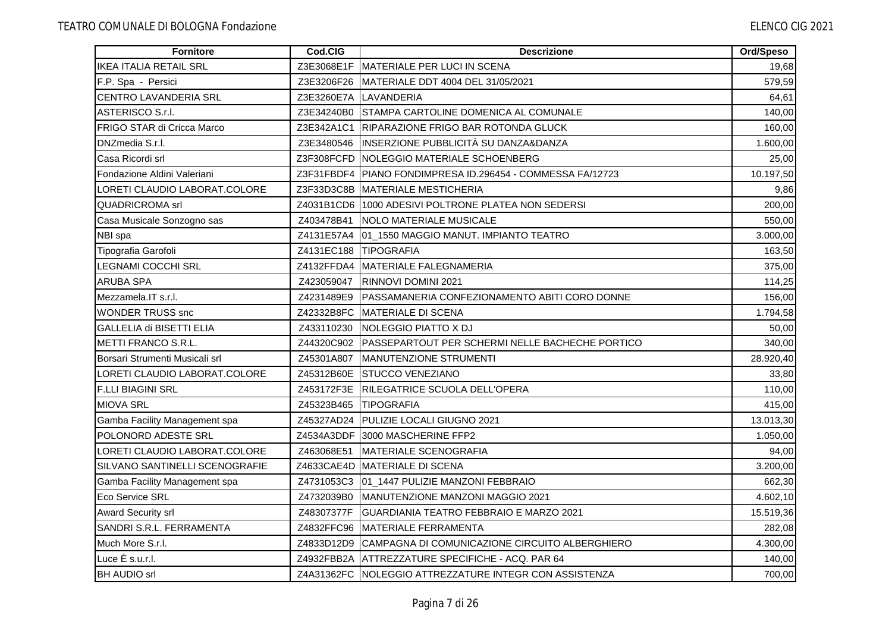| <b>Fornitore</b>                  | Cod.CIG               | <b>Descrizione</b>                                           | Ord/Speso |
|-----------------------------------|-----------------------|--------------------------------------------------------------|-----------|
| <b>IKEA ITALIA RETAIL SRL</b>     |                       | Z3E3068E1F MATERIALE PER LUCI IN SCENA                       | 19,68     |
| F.P. Spa - Persici                | Z3E3206F26            | IMATERIALE DDT 4004 DEL 31/05/2021                           | 579,59    |
| <b>CENTRO LAVANDERIA SRL</b>      |                       | Z3E3260E7A LAVANDERIA                                        | 64,61     |
| ASTERISCO S.r.I.                  |                       | Z3E34240B0 STAMPA CARTOLINE DOMENICA AL COMUNALE             | 140,00    |
| <b>FRIGO STAR di Cricca Marco</b> |                       | Z3E342A1C1 RIPARAZIONE FRIGO BAR ROTONDA GLUCK               | 160,00    |
| DNZmedia S.r.l.                   |                       | Z3E3480546  INSERZIONE PUBBLICITÀ SU DANZA&DANZA             | 1.600,00  |
| Casa Ricordi srl                  |                       | Z3F308FCFD   NOLEGGIO MATERIALE SCHOENBERG                   | 25,00     |
| Fondazione Aldini Valeriani       |                       | Z3F31FBDF4   PIANO FONDIMPRESA ID.296454 - COMMESSA FA/12723 | 10.197,50 |
| LORETI CLAUDIO LABORAT.COLORE     | Z3F33D3C8B            | <b>IMATERIALE MESTICHERIA</b>                                | 9,86      |
| <b>QUADRICROMA</b> srl            |                       | Z4031B1CD6 1000 ADESIVI POLTRONE PLATEA NON SEDERSI          | 200,00    |
| Casa Musicale Sonzogno sas        | Z403478B41            | <b>NOLO MATERIALE MUSICALE</b>                               | 550,00    |
| NBI spa                           |                       | Z4131E57A4 101 1550 MAGGIO MANUT. IMPIANTO TEATRO            | 3.000.00  |
| Tipografia Garofoli               | Z4131EC188 TIPOGRAFIA |                                                              | 163,50    |
| <b>LEGNAMI COCCHI SRL</b>         |                       | Z4132FFDA4 MATERIALE FALEGNAMERIA                            | 375,00    |
| ARUBA SPA                         | Z423059047            | <b>RINNOVI DOMINI 2021</b>                                   | 114,25    |
| Mezzamela.IT s.r.l.               | Z4231489E9            | PASSAMANERIA CONFEZIONAMENTO ABITI CORO DONNE                | 156,00    |
| <b>WONDER TRUSS snc</b>           |                       | Z42332B8FC MATERIALE DI SCENA                                | 1.794,58  |
| GALLELIA di BISETTI ELIA          | Z433110230            | NOLEGGIO PIATTO X DJ                                         | 50,00     |
| METTI FRANCO S.R.L.               | Z44320C902            | <b>PASSEPARTOUT PER SCHERMI NELLE BACHECHE PORTICO</b>       | 340,00    |
| Borsari Strumenti Musicali srl    | Z45301A807            | <b>IMANUTENZIONE STRUMENTI</b>                               | 28.920,40 |
| LORETI CLAUDIO LABORAT.COLORE     | Z45312B60E            | <b>STUCCO VENEZIANO</b>                                      | 33,80     |
| <b>F.LLI BIAGINI SRL</b>          | Z453172F3E            | <b>IRILEGATRICE SCUOLA DELL'OPERA</b>                        | 110,00    |
| <b>MIOVA SRL</b>                  | Z45323B465            | <b>TIPOGRAFIA</b>                                            | 415,00    |
| Gamba Facility Management spa     | Z45327AD24            | PULIZIE LOCALI GIUGNO 2021                                   | 13.013,30 |
| POLONORD ADESTE SRL               |                       | Z4534A3DDF 13000 MASCHERINE FFP2                             | 1.050,00  |
| LORETI CLAUDIO LABORAT.COLORE     | Z463068E51            | <b>MATERIALE SCENOGRAFIA</b>                                 | 94,00     |
| SILVANO SANTINELLI SCENOGRAFIE    |                       | Z4633CAE4D MATERIALE DI SCENA                                | 3.200,00  |
| Gamba Facility Management spa     | Z4731053C3            | 01_1447 PULIZIE MANZONI FEBBRAIO                             | 662,30    |
| Eco Service SRL                   | Z4732039B0            | MANUTENZIONE MANZONI MAGGIO 2021                             | 4.602,10  |
| <b>Award Security srl</b>         | Z48307377F            | GUARDIANIA TEATRO FEBBRAIO E MARZO 2021                      | 15.519,36 |
| SANDRI S.R.L. FERRAMENTA          | Z4832FFC96            | MATERIALE FERRAMENTA                                         | 282,08    |
| Much More S.r.I.                  |                       | Z4833D12D9 CAMPAGNA DI COMUNICAZIONE CIRCUITO ALBERGHIERO    | 4.300,00  |
| Luce È s.u.r.l.                   |                       | Z4932FBB2A ATTREZZATURE SPECIFICHE - ACQ. PAR 64             | 140,00    |
| <b>BH AUDIO srl</b>               |                       | Z4A31362FC NOLEGGIO ATTREZZATURE INTEGR CON ASSISTENZA       | 700,00    |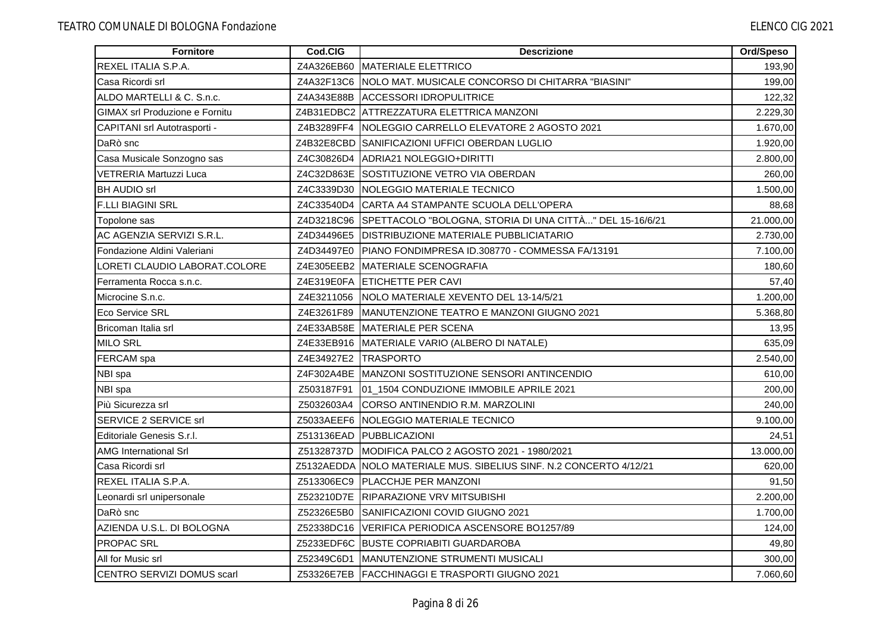| <b>Fornitore</b>                      | Cod.CIG    | <b>Descrizione</b>                                                  | Ord/Speso |
|---------------------------------------|------------|---------------------------------------------------------------------|-----------|
| REXEL ITALIA S.P.A.                   | Z4A326EB60 | MATERIALE ELETTRICO                                                 | 193,90    |
| Casa Ricordi srl                      |            | Z4A32F13C6 NOLO MAT. MUSICALE CONCORSO DI CHITARRA "BIASINI"        | 199,00    |
| ALDO MARTELLI & C. S.n.c.             |            | Z4A343E88B ACCESSORI IDROPULITRICE                                  | 122,32    |
| <b>GIMAX srl Produzione e Fornitu</b> |            | Z4B31EDBC2 ATTREZZATURA ELETTRICA MANZONI                           | 2.229,30  |
| CAPITANI srl Autotrasporti -          |            | Z4B3289FF4   NOLEGGIO CARRELLO ELEVATORE 2 AGOSTO 2021              | 1.670,00  |
| DaRò snc                              |            | Z4B32E8CBD SANIFICAZIONI UFFICI OBERDAN LUGLIO                      | 1.920,00  |
| Casa Musicale Sonzogno sas            |            | Z4C30826D4 ADRIA21 NOLEGGIO+DIRITTI                                 | 2.800,00  |
| VETRERIA Martuzzi Luca                |            | Z4C32D863E SOSTITUZIONE VETRO VIA OBERDAN                           | 260,00    |
| <b>BH AUDIO srl</b>                   |            | Z4C3339D30 NOLEGGIO MATERIALE TECNICO                               | 1.500,00  |
| <b>F.LLI BIAGINI SRL</b>              |            | Z4C33540D4 CARTA A4 STAMPANTE SCUOLA DELL'OPERA                     | 88,68     |
| Topolone sas                          |            | Z4D3218C96 SPETTACOLO "BOLOGNA, STORIA DI UNA CITTÀ" DEL 15-16/6/21 | 21.000,00 |
| AC AGENZIA SERVIZI S.R.L.             |            | Z4D34496E5   DISTRIBUZIONE MATERIALE PUBBLICIATARIO                 | 2.730,00  |
| Fondazione Aldini Valeriani           |            | Z4D34497E0 PIANO FONDIMPRESA ID.308770 - COMMESSA FA/13191          | 7.100,00  |
| LORETI CLAUDIO LABORAT.COLORE         |            | Z4E305EEB2 MATERIALE SCENOGRAFIA                                    | 180,60    |
| Ferramenta Rocca s.n.c.               |            | Z4E319E0FA ETICHETTE PER CAVI                                       | 57,40     |
| Microcine S.n.c.                      | Z4E3211056 | NOLO MATERIALE XEVENTO DEL 13-14/5/21                               | 1.200,00  |
| Eco Service SRL                       | Z4E3261F89 | MANUTENZIONE TEATRO E MANZONI GIUGNO 2021                           | 5.368,80  |
| Bricoman Italia srl                   |            | Z4E33AB58E MATERIALE PER SCENA                                      | 13,95     |
| <b>MILO SRL</b>                       |            | Z4E33EB916 MATERIALE VARIO (ALBERO DI NATALE)                       | 635,09    |
| FERCAM spa                            |            | Z4E34927E2   TRASPORTO                                              | 2.540,00  |
| NBI spa                               |            | Z4F302A4BE MANZONI SOSTITUZIONE SENSORI ANTINCENDIO                 | 610,00    |
| NBI spa                               | Z503187F91 | 01_1504 CONDUZIONE IMMOBILE APRILE 2021                             | 200,00    |
| Più Sicurezza srl                     | Z5032603A4 | CORSO ANTINENDIO R.M. MARZOLINI                                     | 240,00    |
| SERVICE 2 SERVICE srl                 |            | Z5033AEEF6 NOLEGGIO MATERIALE TECNICO                               | 9.100,00  |
| Editoriale Genesis S.r.l.             | Z513136EAD | PUBBLICAZIONI                                                       | 24,51     |
| <b>AMG International Srl</b>          | Z51328737D | <b>IMODIFICA PALCO 2 AGOSTO 2021 - 1980/2021</b>                    | 13.000,00 |
| Casa Ricordi srl                      |            | Z5132AEDDA NOLO MATERIALE MUS. SIBELIUS SINF. N.2 CONCERTO 4/12/21  | 620,00    |
| REXEL ITALIA S.P.A.                   | Z513306EC9 | <b>PLACCHJE PER MANZONI</b>                                         | 91,50     |
| Leonardi srl unipersonale             |            | Z523210D7E RIPARAZIONE VRV MITSUBISHI                               | 2.200,00  |
| DaRò snc                              |            | Z52326E5B0 SANIFICAZIONI COVID GIUGNO 2021                          | 1.700,00  |
| AZIENDA U.S.L. DI BOLOGNA             |            | Z52338DC16 VERIFICA PERIODICA ASCENSORE BO1257/89                   | 124,00    |
| <b>PROPAC SRL</b>                     |            | Z5233EDF6C BUSTE COPRIABITI GUARDAROBA                              | 49,80     |
| All for Music srl                     |            | Z52349C6D1 MANUTENZIONE STRUMENTI MUSICALI                          | 300,00    |
| ICENTRO SERVIZI DOMUS scarl           |            | Z53326E7EB   FACCHINAGGI E TRASPORTI GIUGNO 2021                    | 7.060,60  |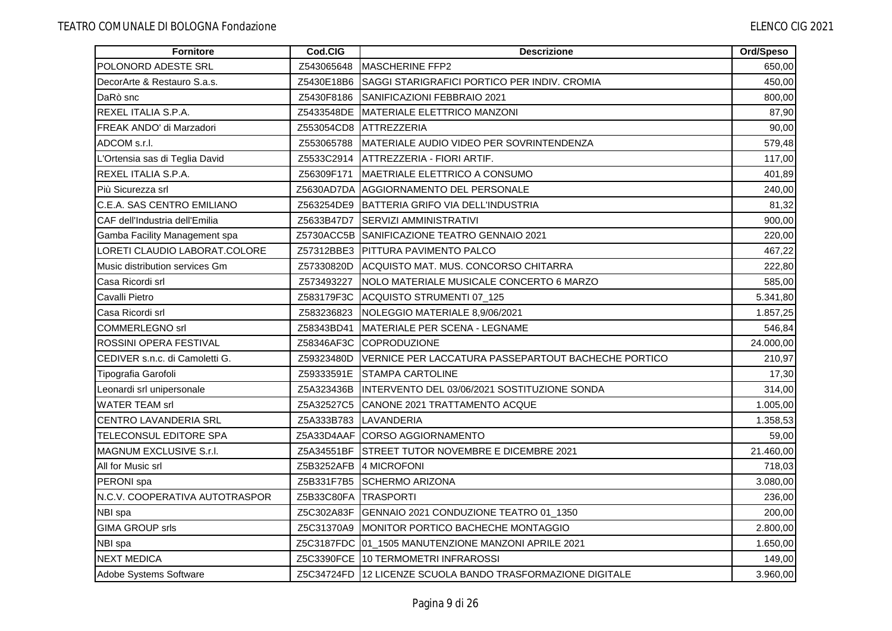| Fornitore                      | Cod.CIG              | <b>Descrizione</b>                                         | Ord/Speso |
|--------------------------------|----------------------|------------------------------------------------------------|-----------|
| POLONORD ADESTE SRL            | Z543065648           | <b>IMASCHERINE FFP2</b>                                    | 650,00    |
| DecorArte & Restauro S.a.s.    | Z5430E18B6           | SAGGI STARIGRAFICI PORTICO PER INDIV. CROMIA               | 450,00    |
| DaRò snc                       | Z5430F8186           | <b>ISANIFICAZIONI FEBBRAIO 2021</b>                        | 800,00    |
| <b>REXEL ITALIA S.P.A.</b>     |                      | Z5433548DE MATERIALE ELETTRICO MANZONI                     | 87,90     |
| FREAK ANDO' di Marzadori       | Z553054CD8           | ATTREZZERIA                                                | 90,00     |
| ADCOM s.r.l.                   | Z553065788           | MATERIALE AUDIO VIDEO PER SOVRINTENDENZA                   | 579,48    |
| L'Ortensia sas di Teglia David |                      | Z5533C2914   ATTREZZERIA - FIORI ARTIF.                    | 117,00    |
| REXEL ITALIA S.P.A.            | Z56309F171           | MAETRIALE ELETTRICO A CONSUMO                              | 401,89    |
| Più Sicurezza srl              |                      | Z5630AD7DA  AGGIORNAMENTO DEL PERSONALE                    | 240,00    |
| C.E.A. SAS CENTRO EMILIANO     | Z563254DE9           | <b>BATTERIA GRIFO VIA DELL'INDUSTRIA</b>                   | 81,32     |
| CAF dell'Industria dell'Emilia | Z5633B47D7           | <b>SERVIZI AMMINISTRATIVI</b>                              | 900,00    |
| Gamba Facility Management spa  |                      | Z5730ACC5B SANIFICAZIONE TEATRO GENNAIO 2021               | 220,00    |
| LORETI CLAUDIO LABORAT.COLORE  |                      | Z57312BBE3 PITTURA PAVIMENTO PALCO                         | 467,22    |
| Music distribution services Gm | Z57330820D           | ACQUISTO MAT. MUS. CONCORSO CHITARRA                       | 222,80    |
| Casa Ricordi srl               | Z573493227           | <b>NOLO MATERIALE MUSICALE CONCERTO 6 MARZO</b>            | 585,00    |
| Cavalli Pietro                 | Z583179F3C           | ACQUISTO STRUMENTI 07_125                                  | 5.341,80  |
| Casa Ricordi srl               | Z583236823           | NOLEGGIO MATERIALE 8,9/06/2021                             | 1.857,25  |
| <b>COMMERLEGNO srl</b>         | Z58343BD41           | MATERIALE PER SCENA - LEGNAME                              | 546,84    |
| ROSSINI OPERA FESTIVAL         | Z58346AF3C           | COPRODUZIONE                                               | 24.000,00 |
| CEDIVER s.n.c. di Camoletti G. | Z59323480D           | IVERNICE PER LACCATURA PASSEPARTOUT BACHECHE PORTICO       | 210,97    |
| Tipografia Garofoli            | Z59333591E           | <b>STAMPA CARTOLINE</b>                                    | 17,30     |
| Leonardi srl unipersonale      | Z5A323436B           | INTERVENTO DEL 03/06/2021 SOSTITUZIONE SONDA               | 314,00    |
| <b>WATER TEAM srl</b>          | Z5A32527C5           | CANONE 2021 TRATTAMENTO ACQUE                              | 1.005,00  |
| <b>CENTRO LAVANDERIA SRL</b>   | Z5A333B783           | LAVANDERIA                                                 | 1.358,53  |
| TELECONSUL EDITORE SPA         |                      | Z5A33D4AAF CORSO AGGIORNAMENTO                             | 59,00     |
| <b>MAGNUM EXCLUSIVE S.r.I.</b> |                      | Z5A34551BF STREET TUTOR NOVEMBRE E DICEMBRE 2021           | 21.460,00 |
| All for Music srl              | Z5B3252AFB           | 4 MICROFONI                                                | 718,03    |
| PERONI spa                     | Z5B331F7B5           | <b>SCHERMO ARIZONA</b>                                     | 3.080,00  |
| N.C.V. COOPERATIVA AUTOTRASPOR | Z5B33C80FA TRASPORTI |                                                            | 236,00    |
| NBI spa                        |                      | Z5C302A83F GENNAIO 2021 CONDUZIONE TEATRO 01_1350          | 200,00    |
| <b>GIMA GROUP srls</b>         | Z5C31370A9           | MONITOR PORTICO BACHECHE MONTAGGIO                         | 2.800,00  |
| NBI spa                        |                      | Z5C3187FDC 01_1505 MANUTENZIONE MANZONI APRILE 2021        | 1.650,00  |
| <b>NEXT MEDICA</b>             |                      | Z5C3390FCE 10 TERMOMETRI INFRAROSSI                        | 149,00    |
| Adobe Systems Software         |                      | Z5C34724FD 12 LICENZE SCUOLA BANDO TRASFORMAZIONE DIGITALE | 3.960,00  |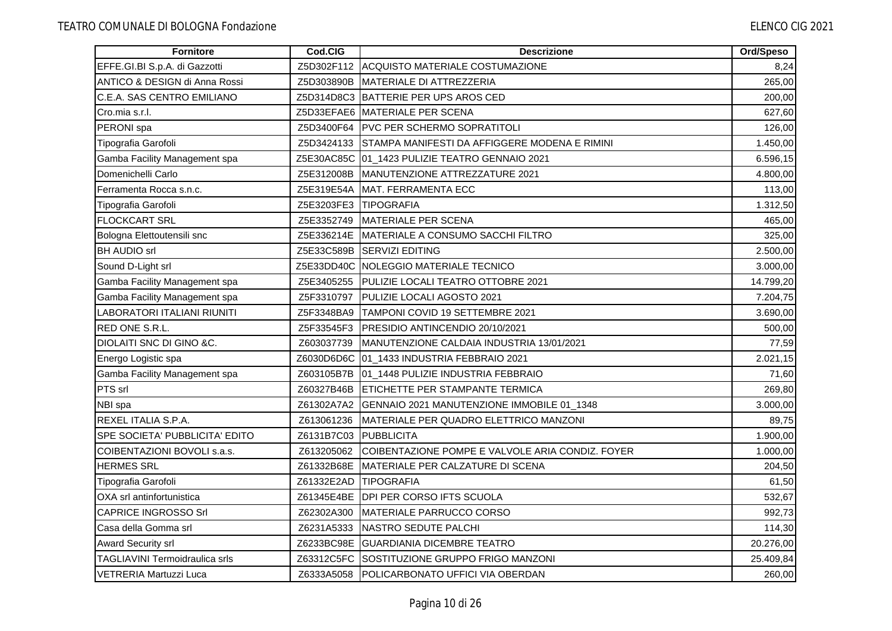| <b>Fornitore</b>                      | Cod.CIG               | <b>Descrizione</b>                                       | Ord/Speso |
|---------------------------------------|-----------------------|----------------------------------------------------------|-----------|
| EFFE.GI.BI S.p.A. di Gazzotti         | Z5D302F112            | ACQUISTO MATERIALE COSTUMAZIONE                          | 8,24      |
| ANTICO & DESIGN di Anna Rossi         | Z5D303890B            | <b>IMATERIALE DI ATTREZZERIA</b>                         | 265,00    |
| C.E.A. SAS CENTRO EMILIANO            |                       | Z5D314D8C3 BATTERIE PER UPS AROS CED                     | 200,00    |
| Cro.mia s.r.l.                        |                       | Z5D33EFAE6 MATERIALE PER SCENA                           | 627,60    |
| PERONI spa                            |                       | Z5D3400F64   PVC PER SCHERMO SOPRATITOLI                 | 126,00    |
| Tipografia Garofoli                   |                       | Z5D3424133 STAMPA MANIFESTI DA AFFIGGERE MODENA E RIMINI | 1.450,00  |
| Gamba Facility Management spa         |                       | Z5E30AC85C 01_1423 PULIZIE TEATRO GENNAIO 2021           | 6.596,15  |
| Domenichelli Carlo                    | Z5E312008B            | MANUTENZIONE ATTREZZATURE 2021                           | 4.800,00  |
| Ferramenta Rocca s.n.c.               | Z5E319E54A            | <b>MAT. FERRAMENTA ECC</b>                               | 113,00    |
| Tipografia Garofoli                   | Z5E3203FE3 TIPOGRAFIA |                                                          | 1.312,50  |
| <b>FLOCKCART SRL</b>                  | Z5E3352749            | MATERIALE PER SCENA                                      | 465,00    |
| Bologna Elettoutensili snc            |                       | Z5E336214E MATERIALE A CONSUMO SACCHI FILTRO             | 325,00    |
| <b>BH AUDIO srl</b>                   |                       | Z5E33C589B SERVIZI EDITING                               | 2.500,00  |
| Sound D-Light srl                     |                       | Z5E33DD40C NOLEGGIO MATERIALE TECNICO                    | 3.000,00  |
| Gamba Facility Management spa         | Z5E3405255            | <b>PULIZIE LOCALI TEATRO OTTOBRE 2021</b>                | 14.799,20 |
| Gamba Facility Management spa         | Z5F3310797            | PULIZIE LOCALI AGOSTO 2021                               | 7.204,75  |
| LABORATORI ITALIANI RIUNITI           | Z5F3348BA9            | TAMPONI COVID 19 SETTEMBRE 2021                          | 3.690,00  |
| <b>RED ONE S.R.L.</b>                 | Z5F33545F3            | PRESIDIO ANTINCENDIO 20/10/2021                          | 500,00    |
| <b>DIOLAITI SNC DI GINO &amp;C.</b>   | Z603037739            | MANUTENZIONE CALDAIA INDUSTRIA 13/01/2021                | 77,59     |
| Energo Logistic spa                   |                       | Z6030D6D6C 01_1433 INDUSTRIA FEBBRAIO 2021               | 2.021,15  |
| Gamba Facility Management spa         |                       | Z603105B7B 01_1448 PULIZIE INDUSTRIA FEBBRAIO            | 71,60     |
| PTS srl                               | Z60327B46B            | <b>ETICHETTE PER STAMPANTE TERMICA</b>                   | 269,80    |
| NBI spa                               |                       | Z61302A7A2 GENNAIO 2021 MANUTENZIONE IMMOBILE 01_1348    | 3.000,00  |
| <b>REXEL ITALIA S.P.A.</b>            | Z613061236            | MATERIALE PER QUADRO ELETTRICO MANZONI                   | 89,75     |
| SPE SOCIETA' PUBBLICITA' EDITO        | Z6131B7C03            | PUBBLICITA                                               | 1.900,00  |
| COIBENTAZIONI BOVOLI s.a.s.           | Z613205062            | COIBENTAZIONE POMPE E VALVOLE ARIA CONDIZ. FOYER         | 1.000,00  |
| <b>HERMES SRL</b>                     |                       | Z61332B68E MATERIALE PER CALZATURE DI SCENA              | 204,50    |
| Tipografia Garofoli                   | Z61332E2AD            | TIPOGRAFIA                                               | 61,50     |
| OXA srl antinfortunistica             |                       | Z61345E4BE DPI PER CORSO IFTS SCUOLA                     | 532,67    |
| <b>CAPRICE INGROSSO Srl</b>           | Z62302A300            | MATERIALE PARRUCCO CORSO                                 | 992,73    |
| Casa della Gomma srl                  | Z6231A5333            | NASTRO SEDUTE PALCHI                                     | 114,30    |
| <b>Award Security srl</b>             |                       | Z6233BC98E GUARDIANIA DICEMBRE TEATRO                    | 20.276,00 |
| <b>TAGLIAVINI Termoidraulica srls</b> |                       | Z63312C5FC ISOSTITUZIONE GRUPPO FRIGO MANZONI            | 25.409,84 |
| <b>IVETRERIA Martuzzi Luca</b>        |                       | Z6333A5058 POLICARBONATO UFFICI VIA OBERDAN              | 260,00    |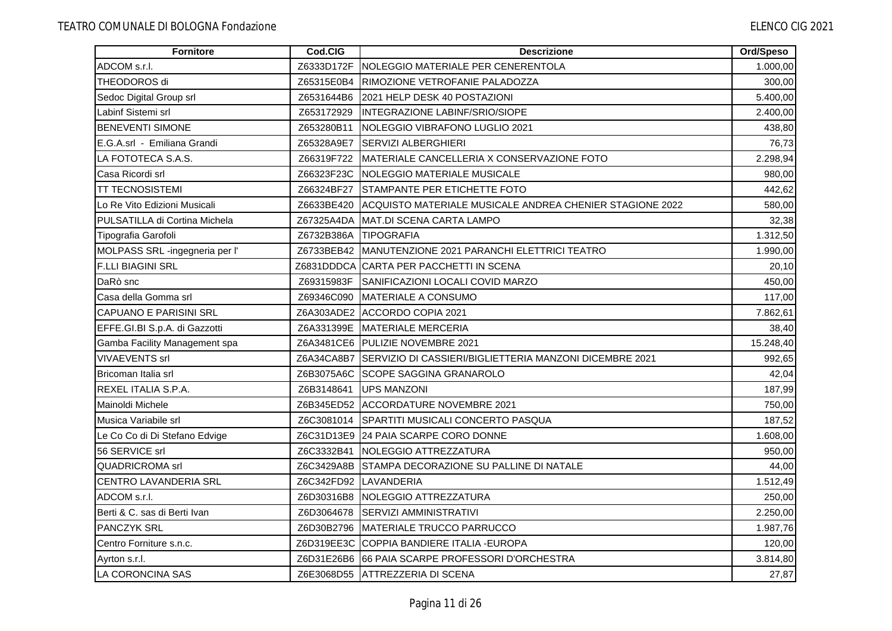| Fornitore                      | Cod.CIG               | <b>Descrizione</b>                                                  | Ord/Speso |
|--------------------------------|-----------------------|---------------------------------------------------------------------|-----------|
| ADCOM s.r.l.                   | Z6333D172F            | INOLEGGIO MATERIALE PER CENERENTOLA                                 | 1.000,00  |
| THEODOROS di                   | Z65315E0B4            | RIMOZIONE VETROFANIE PALADOZZA                                      | 300,00    |
| Sedoc Digital Group srl        | Z6531644B6            | 2021 HELP DESK 40 POSTAZIONI                                        | 5.400,00  |
| Labinf Sistemi srl             | Z653172929            | <b>IINTEGRAZIONE LABINF/SRIO/SIOPE</b>                              | 2.400,00  |
| <b>BENEVENTI SIMONE</b>        | Z653280B11            | NOLEGGIO VIBRAFONO LUGLIO 2021                                      | 438,80    |
| E.G.A.srl - Emiliana Grandi    | Z65328A9E7            | <b>SERVIZI ALBERGHIERI</b>                                          | 76,73     |
| LA FOTOTECA S.A.S.             | Z66319F722            | MATERIALE CANCELLERIA X CONSERVAZIONE FOTO                          | 2.298,94  |
| Casa Ricordi srl               | Z66323F23C            | <b>INOLEGGIO MATERIALE MUSICALE</b>                                 | 980,00    |
| TT TECNOSISTEMI                | Z66324BF27            | STAMPANTE PER ETICHETTE FOTO                                        | 442,62    |
| Lo Re Vito Edizioni Musicali   | Z6633BE420            | IACQUISTO MATERIALE MUSICALE ANDREA CHENIER STAGIONE 2022           | 580,00    |
| PULSATILLA di Cortina Michela  | Z67325A4DA            | MAT.DI SCENA CARTA LAMPO                                            | 32,38     |
| Tipografia Garofoli            | Z6732B386A TIPOGRAFIA |                                                                     | 1.312,50  |
| MOLPASS SRL -ingegneria per l' |                       | Z6733BEB42   MANUTENZIONE 2021 PARANCHI ELETTRICI TEATRO            | 1.990,00  |
| <b>F.LLI BIAGINI SRL</b>       |                       | Z6831DDDCA ICARTA PER PACCHETTI IN SCENA                            | 20,10     |
| DaRò snc                       |                       | Z69315983F SANIFICAZIONI LOCALI COVID MARZO                         | 450,00    |
| Casa della Gomma srl           | Z69346C090            | <b>MATERIALE A CONSUMO</b>                                          | 117,00    |
| <b>CAPUANO E PARISINI SRL</b>  |                       | Z6A303ADE2 ACCORDO COPIA 2021                                       | 7.862,61  |
| EFFE.GI.BI S.p.A. di Gazzotti  |                       | Z6A331399E MATERIALE MERCERIA                                       | 38,40     |
| Gamba Facility Management spa  |                       | Z6A3481CE6 PULIZIE NOVEMBRE 2021                                    | 15.248,40 |
| <b>VIVAEVENTS srl</b>          |                       | Z6A34CA8B7 ISERVIZIO DI CASSIERI/BIGLIETTERIA MANZONI DICEMBRE 2021 | 992,65    |
| Bricoman Italia srl            |                       | Z6B3075A6C ISCOPE SAGGINA GRANAROLO                                 | 42,04     |
| REXEL ITALIA S.P.A.            |                       | Z6B3148641   UPS MANZONI                                            | 187,99    |
| Mainoldi Michele               |                       | Z6B345ED52 ACCORDATURE NOVEMBRE 2021                                | 750,00    |
| Musica Variabile srl           |                       | Z6C3081014 SPARTITI MUSICALI CONCERTO PASQUA                        | 187,52    |
| Le Co Co di Di Stefano Edvige  |                       | Z6C31D13E9 24 PAIA SCARPE CORO DONNE                                | 1.608,00  |
| 56 SERVICE srl                 |                       | Z6C3332B41 INOLEGGIO ATTREZZATURA                                   | 950.00    |
| <b>QUADRICROMA</b> srl         |                       | Z6C3429A8B STAMPA DECORAZIONE SU PALLINE DI NATALE                  | 44,00     |
| CENTRO LAVANDERIA SRL          |                       | Z6C342FD92 LAVANDERIA                                               | 1.512,49  |
| ADCOM s.r.l.                   | Z6D30316B8            | <b>INOLEGGIO ATTREZZATURA</b>                                       | 250,00    |
| Berti & C. sas di Berti Ivan   |                       | Z6D3064678 SERVIZI AMMINISTRATIVI                                   | 2.250,00  |
| <b>PANCZYK SRL</b>             |                       | Z6D30B2796 MATERIALE TRUCCO PARRUCCO                                | 1.987,76  |
| Centro Forniture s.n.c.        |                       | Z6D319EE3C COPPIA BANDIERE ITALIA - EUROPA                          | 120,00    |
| Ayrton s.r.l.                  |                       | Z6D31E26B6 66 PAIA SCARPE PROFESSORI D'ORCHESTRA                    | 3.814,80  |
| LA CORONCINA SAS               |                       | Z6E3068D55 ATTREZZERIA DI SCENA                                     | 27,87     |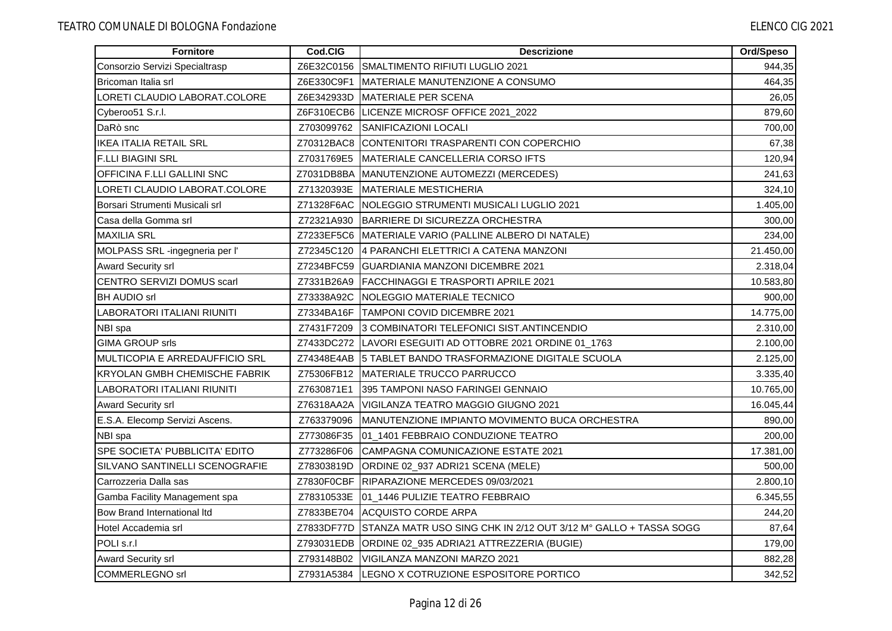| <b>Fornitore</b>                      | Cod.CIG    | <b>Descrizione</b>                                              | Ord/Speso |
|---------------------------------------|------------|-----------------------------------------------------------------|-----------|
| Consorzio Servizi Specialtrasp        | Z6E32C0156 | SMALTIMENTO RIFIUTI LUGLIO 2021                                 | 944,35    |
| Bricoman Italia srl                   |            | Z6E330C9F1 MATERIALE MANUTENZIONE A CONSUMO                     | 464,35    |
| LORETI CLAUDIO LABORAT.COLORE         | Z6E342933D | <b>IMATERIALE PER SCENA</b>                                     | 26,05     |
| Cyberoo51 S.r.l.                      |            | Z6F310ECB6 LICENZE MICROSF OFFICE 2021_2022                     | 879,60    |
| DaRò snc                              | Z703099762 | SANIFICAZIONI LOCALI                                            | 700,00    |
| <b>IKEA ITALIA RETAIL SRL</b>         |            | Z70312BAC8 CONTENITORI TRASPARENTI CON COPERCHIO                | 67,38     |
| <b>F.LLI BIAGINI SRL</b>              | Z7031769E5 | MATERIALE CANCELLERIA CORSO IFTS                                | 120,94    |
| OFFICINA F.LLI GALLINI SNC            |            | Z7031DB8BA MANUTENZIONE AUTOMEZZI (MERCEDES)                    | 241,63    |
| LORETI CLAUDIO LABORAT.COLORE         | Z71320393E | MATERIALE MESTICHERIA                                           | 324,10    |
| Borsari Strumenti Musicali srl        | Z71328F6AC | NOLEGGIO STRUMENTI MUSICALI LUGLIO 2021                         | 1.405,00  |
| Casa della Gomma srl                  | Z72321A930 | BARRIERE DI SICUREZZA ORCHESTRA                                 | 300,00    |
| <b>MAXILIA SRL</b>                    |            | Z7233EF5C6 MATERIALE VARIO (PALLINE ALBERO DI NATALE)           | 234,00    |
| MOLPASS SRL -ingegneria per l'        | Z72345C120 | 4 PARANCHI ELETTRICI A CATENA MANZONI                           | 21.450,00 |
| <b>Award Security srl</b>             | Z7234BFC59 | <b>IGUARDIANIA MANZONI DICEMBRE 2021</b>                        | 2.318,04  |
| CENTRO SERVIZI DOMUS scarl            | Z7331B26A9 | <b>FACCHINAGGI E TRASPORTI APRILE 2021</b>                      | 10.583,80 |
| <b>BH AUDIO srl</b>                   | Z73338A92C | <b>INOLEGGIO MATERIALE TECNICO</b>                              | 900,00    |
| LABORATORI ITALIANI RIUNITI           | Z7334BA16F | <b>ITAMPONI COVID DICEMBRE 2021</b>                             | 14.775,00 |
| NBI spa                               | Z7431F7209 | 3 COMBINATORI TELEFONICI SIST.ANTINCENDIO                       | 2.310,00  |
| <b>GIMA GROUP srls</b>                |            | Z7433DC272 LAVORI ESEGUITI AD OTTOBRE 2021 ORDINE 01_1763       | 2.100,00  |
| MULTICOPIA E ARREDAUFFICIO SRL        |            | Z74348E4AB 15 TABLET BANDO TRASFORMAZIONE DIGITALE SCUOLA       | 2.125,00  |
| <b>KRYOLAN GMBH CHEMISCHE FABRIK</b>  | Z75306FB12 | MATERIALE TRUCCO PARRUCCO                                       | 3.335,40  |
| LABORATORI ITALIANI RIUNITI           | Z7630871E1 | 395 TAMPONI NASO FARINGEI GENNAIO                               | 10.765,00 |
| <b>Award Security srl</b>             | Z76318AA2A | VIGILANZA TEATRO MAGGIO GIUGNO 2021                             | 16.045,44 |
| E.S.A. Elecomp Servizi Ascens.        | Z763379096 | MANUTENZIONE IMPIANTO MOVIMENTO BUCA ORCHESTRA                  | 890,00    |
| NBI spa                               | Z773086F35 | 01_1401 FEBBRAIO CONDUZIONE TEATRO                              | 200,00    |
| SPE SOCIETA' PUBBLICITA' EDITO        | Z773286F06 | <b>CAMPAGNA COMUNICAZIONE ESTATE 2021</b>                       | 17.381,00 |
| <b>SILVANO SANTINELLI SCENOGRAFIE</b> | Z78303819D | ORDINE 02_937 ADRI21 SCENA (MELE)                               | 500,00    |
| Carrozzeria Dalla sas                 | Z7830F0CBF | RIPARAZIONE MERCEDES 09/03/2021                                 | 2.800,10  |
| Gamba Facility Management spa         | Z78310533E | 01_1446 PULIZIE TEATRO FEBBRAIO                                 | 6.345,55  |
| Bow Brand International Itd           |            | Z7833BE704 ACQUISTO CORDE ARPA                                  | 244,20    |
| Hotel Accademia srl                   | Z7833DF77D | STANZA MATR USO SING CHK IN 2/12 OUT 3/12 M° GALLO + TASSA SOGG | 87,64     |
| POLI s.r.I                            |            | Z793031EDB ORDINE 02_935 ADRIA21 ATTREZZERIA (BUGIE)            | 179,00    |
| <b>Award Security srl</b>             |            | Z793148B02 VIGILANZA MANZONI MARZO 2021                         | 882,28    |
| <b>COMMERLEGNO</b> srl                |            | Z7931A5384  LEGNO X COTRUZIONE ESPOSITORE PORTICO               | 342,52    |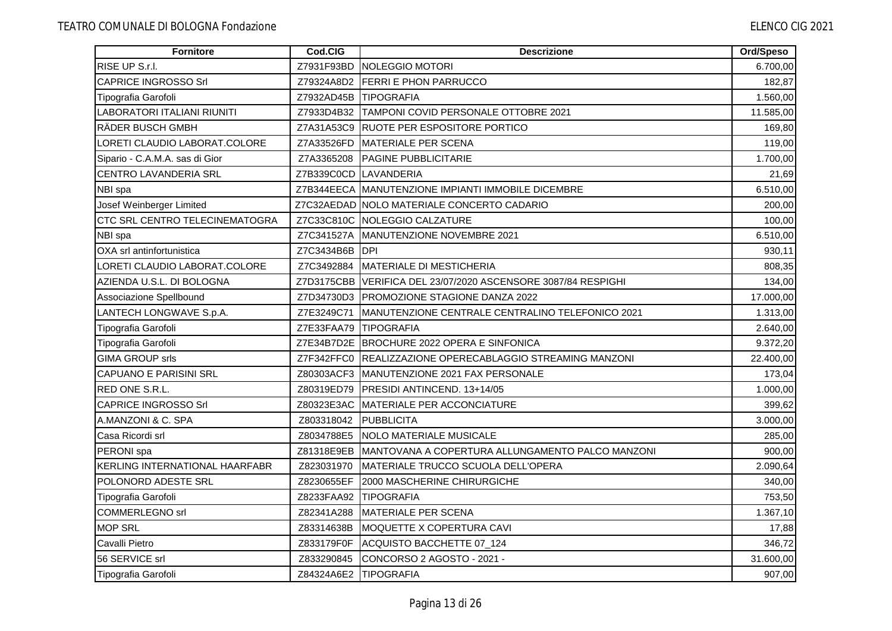| Fornitore                             | Cod.CIG               | <b>Descrizione</b>                                            | Ord/Speso |
|---------------------------------------|-----------------------|---------------------------------------------------------------|-----------|
| RISE UP S.r.l.                        | Z7931F93BD            | <b>INOLEGGIO MOTORI</b>                                       | 6.700,00  |
| <b>CAPRICE INGROSSO Srl</b>           | Z79324A8D2            | <b>FERRI E PHON PARRUCCO</b>                                  | 182,87    |
| Tipografia Garofoli                   | Z7932AD45B            | <b>ITIPOGRAFIA</b>                                            | 1.560,00  |
| <b>LABORATORI ITALIANI RIUNITI</b>    | Z7933D4B32            | <b>TAMPONI COVID PERSONALE OTTOBRE 2021</b>                   | 11.585,00 |
| RÄDER BUSCH GMBH                      |                       | Z7A31A53C9 RUOTE PER ESPOSITORE PORTICO                       | 169,80    |
| LORETI CLAUDIO LABORAT.COLORE         | Z7A33526FD            | <b>MATERIALE PER SCENA</b>                                    | 119,00    |
| Sipario - C.A.M.A. sas di Gior        | Z7A3365208            | <b>PAGINE PUBBLICITARIE</b>                                   | 1.700,00  |
| CENTRO LAVANDERIA SRL                 |                       | Z7B339C0CD LAVANDERIA                                         | 21,69     |
| NBI spa                               |                       | Z7B344EECA MANUTENZIONE IMPIANTI IMMOBILE DICEMBRE            | 6.510,00  |
| Josef Weinberger Limited              |                       | Z7C32AEDAD INOLO MATERIALE CONCERTO CADARIO                   | 200,00    |
| CTC SRL CENTRO TELECINEMATOGRA        |                       | Z7C33C810C NOLEGGIO CALZATURE                                 | 100,00    |
| NBI spa                               | Z7C341527A            | MANUTENZIONE NOVEMBRE 2021                                    | 6.510,00  |
| OXA srl antinfortunistica             | Z7C3434B6B            | <b>IDPI</b>                                                   | 930,11    |
| LORETI CLAUDIO LABORAT.COLORE         | Z7C3492884            | MATERIALE DI MESTICHERIA                                      | 808,35    |
| AZIENDA U.S.L. DI BOLOGNA             |                       | Z7D3175CBB VERIFICA DEL 23/07/2020 ASCENSORE 3087/84 RESPIGHI | 134,00    |
| Associazione Spellbound               |                       | Z7D34730D3 PROMOZIONE STAGIONE DANZA 2022                     | 17.000.00 |
| LANTECH LONGWAVE S.p.A.               | Z7E3249C71            | MANUTENZIONE CENTRALE CENTRALINO TELEFONICO 2021              | 1.313,00  |
| Tipografia Garofoli                   | Z7E33FAA79 TIPOGRAFIA |                                                               | 2.640,00  |
| Tipografia Garofoli                   |                       | Z7E34B7D2E BROCHURE 2022 OPERA E SINFONICA                    | 9.372,20  |
| <b>GIMA GROUP srls</b>                | Z7F342FFC0            | REALIZZAZIONE OPERECABLAGGIO STREAMING MANZONI                | 22.400,00 |
| <b>CAPUANO E PARISINI SRL</b>         |                       | Z80303ACF3 MANUTENZIONE 2021 FAX PERSONALE                    | 173,04    |
| RED ONE S.R.L.                        | Z80319ED79            | PRESIDI ANTINCEND. 13+14/05                                   | 1.000,00  |
| <b>CAPRICE INGROSSO Srl</b>           | Z80323E3AC            | MATERIALE PER ACCONCIATURE                                    | 399,62    |
| A.MANZONI & C. SPA                    | Z803318042            | PUBBLICITA                                                    | 3.000,00  |
| Casa Ricordi srl                      | Z8034788E5            | <b>NOLO MATERIALE MUSICALE</b>                                | 285,00    |
| PERONI spa                            | Z81318E9EB            | MANTOVANA A COPERTURA ALLUNGAMENTO PALCO MANZONI              | 900,00    |
| <b>KERLING INTERNATIONAL HAARFABR</b> | Z823031970            | MATERIALE TRUCCO SCUOLA DELL'OPERA                            | 2.090,64  |
| POLONORD ADESTE SRL                   | Z8230655EF            | 2000 MASCHERINE CHIRURGICHE                                   | 340,00    |
| Tipografia Garofoli                   | Z8233FAA92            | <b>TIPOGRAFIA</b>                                             | 753,50    |
| <b>COMMERLEGNO srl</b>                | Z82341A288            | <b>MATERIALE PER SCENA</b>                                    | 1.367,10  |
| <b>MOP SRL</b>                        | Z83314638B            | MOQUETTE X COPERTURA CAVI                                     | 17,88     |
| Cavalli Pietro                        | Z833179F0F            | ACQUISTO BACCHETTE 07_124                                     | 346,72    |
| 56 SERVICE srl                        | Z833290845            | CONCORSO 2 AGOSTO - 2021 -                                    | 31.600,00 |
| Tipografia Garofoli                   | Z84324A6E2 TIPOGRAFIA |                                                               | 907,00    |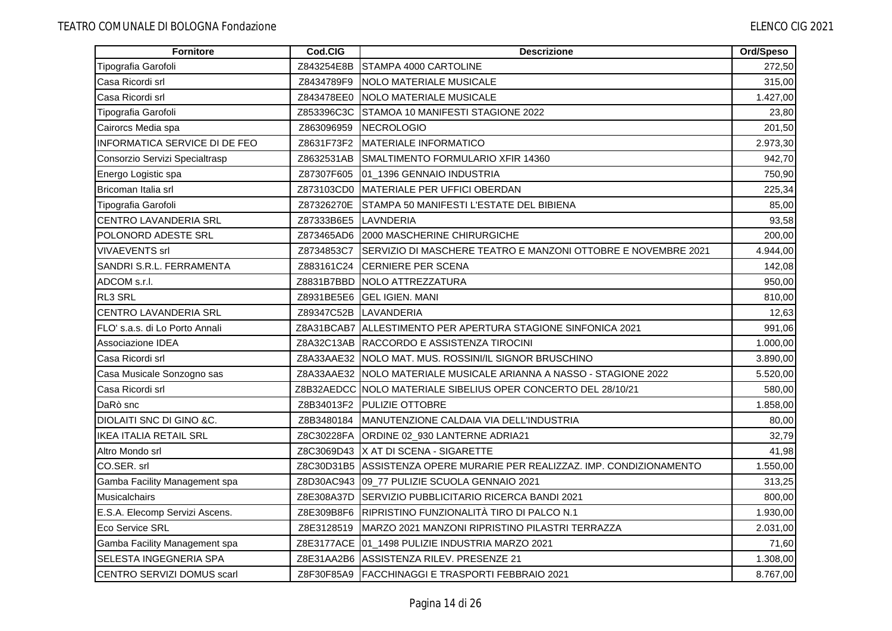| Fornitore                      | Cod.CIG    | <b>Descrizione</b>                                                      | Ord/Speso |
|--------------------------------|------------|-------------------------------------------------------------------------|-----------|
| Tipografia Garofoli            | Z843254E8B | STAMPA 4000 CARTOLINE                                                   | 272,50    |
| Casa Ricordi srl               | Z8434789F9 | <b>INOLO MATERIALE MUSICALE</b>                                         | 315,00    |
| Casa Ricordi srl               | Z843478EE0 | <b>NOLO MATERIALE MUSICALE</b>                                          | 1.427,00  |
| Tipografia Garofoli            | Z853396C3C | STAMOA 10 MANIFESTI STAGIONE 2022                                       | 23,80     |
| Cairorcs Media spa             | Z863096959 | <b>NECROLOGIO</b>                                                       | 201,50    |
| INFORMATICA SERVICE DI DE FEO  | Z8631F73F2 | MATERIALE INFORMATICO                                                   | 2.973,30  |
| Consorzio Servizi Specialtrasp | Z8632531AB | SMALTIMENTO FORMULARIO XFIR 14360                                       | 942,70    |
| Energo Logistic spa            | Z87307F605 | 01_1396 GENNAIO INDUSTRIA                                               | 750,90    |
| Bricoman Italia srl            | Z873103CD0 | MATERIALE PER UFFICI OBERDAN                                            | 225,34    |
| Tipografia Garofoli            | Z87326270E | STAMPA 50 MANIFESTI L'ESTATE DEL BIBIENA                                | 85,00     |
| <b>CENTRO LAVANDERIA SRL</b>   | Z87333B6E5 | LAVNDERIA                                                               | 93,58     |
| POLONORD ADESTE SRL            | Z873465AD6 | 2000 MASCHERINE CHIRURGICHE                                             | 200,00    |
| VIVAEVENTS srl                 | Z8734853C7 | SERVIZIO DI MASCHERE TEATRO E MANZONI OTTOBRE E NOVEMBRE 2021           | 4.944,00  |
| SANDRI S.R.L. FERRAMENTA       | Z883161C24 | <b>CERNIERE PER SCENA</b>                                               | 142,08    |
| ADCOM s.r.l.                   |            | Z8831B7BBD INOLO ATTREZZATURA                                           | 950,00    |
| RL3 SRL                        | Z8931BE5E6 | <b>IGEL IGIEN, MANI</b>                                                 | 810,00    |
| <b>CENTRO LAVANDERIA SRL</b>   |            | Z89347C52B LAVANDERIA                                                   | 12,63     |
| FLO' s.a.s. di Lo Porto Annali |            | Z8A31BCAB7 ALLESTIMENTO PER APERTURA STAGIONE SINFONICA 2021            | 991,06    |
| Associazione IDEA              |            | Z8A32C13AB RACCORDO E ASSISTENZA TIROCINI                               | 1.000,00  |
| Casa Ricordi srl               |            | Z8A33AAE32 NOLO MAT. MUS. ROSSINI/IL SIGNOR BRUSCHINO                   | 3.890,00  |
| Casa Musicale Sonzogno sas     |            | Z8A33AAE32 NOLO MATERIALE MUSICALE ARIANNA A NASSO - STAGIONE 2022      | 5.520,00  |
| Casa Ricordi srl               |            | Z8B32AEDCC NOLO MATERIALE SIBELIUS OPER CONCERTO DEL 28/10/21           | 580,00    |
| DaRò snc                       | Z8B34013F2 | <b>PULIZIE OTTOBRE</b>                                                  | 1.858,00  |
| DIOLAITI SNC DI GINO &C.       | Z8B3480184 | MANUTENZIONE CALDAIA VIA DELL'INDUSTRIA                                 | 80,00     |
| <b>IKEA ITALIA RETAIL SRL</b>  |            | Z8C30228FA ORDINE 02_930 LANTERNE ADRIA21                               | 32,79     |
| Altro Mondo srl                |            | Z8C3069D43 X AT DI SCENA - SIGARETTE                                    | 41,98     |
| CO.SER. srl                    |            | Z8C30D31B5 ASSISTENZA OPERE MURARIE PER REALIZZAZ. IMP. CONDIZIONAMENTO | 1.550,00  |
| Gamba Facility Management spa  |            | Z8D30AC943 09_77 PULIZIE SCUOLA GENNAIO 2021                            | 313,25    |
| <b>Musicalchairs</b>           | Z8E308A37D | SERVIZIO PUBBLICITARIO RICERCA BANDI 2021                               | 800,00    |
| E.S.A. Elecomp Servizi Ascens. |            | Z8E309B8F6 RIPRISTINO FUNZIONALITÀ TIRO DI PALCO N.1                    | 1.930,00  |
| Eco Service SRL                |            | Z8E3128519 MARZO 2021 MANZONI RIPRISTINO PILASTRI TERRAZZA              | 2.031,00  |
| Gamba Facility Management spa  |            | Z8E3177ACE 01_1498 PULIZIE INDUSTRIA MARZO 2021                         | 71,60     |
| SELESTA INGEGNERIA SPA         |            | Z8E31AA2B6 ASSISTENZA RILEV. PRESENZE 21                                | 1.308,00  |
| CENTRO SERVIZI DOMUS scarl     |            | Z8F30F85A9   FACCHINAGGI E TRASPORTI FEBBRAIO 2021                      | 8.767,00  |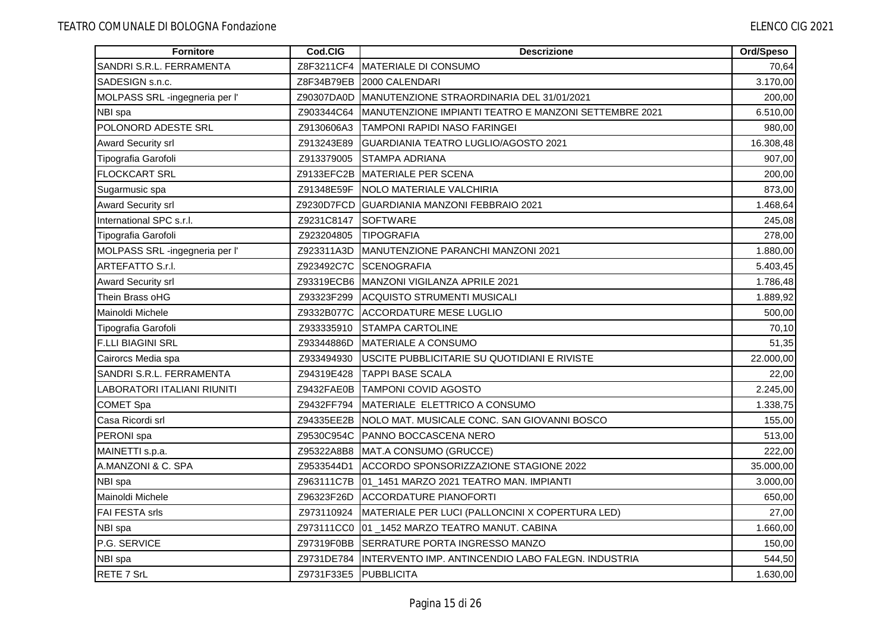| <b>Fornitore</b>               | Cod.CIG               | <b>Descrizione</b>                                             | Ord/Speso |
|--------------------------------|-----------------------|----------------------------------------------------------------|-----------|
| SANDRI S.R.L. FERRAMENTA       | Z8F3211CF4            | <b>MATERIALE DI CONSUMO</b>                                    | 70,64     |
| SADESIGN s.n.c.                | Z8F34B79EB            | 2000 CALENDARI                                                 | 3.170,00  |
| MOLPASS SRL -ingegneria per l' | Z90307DA0D            | MANUTENZIONE STRAORDINARIA DEL 31/01/2021                      | 200,00    |
| NBI spa                        | Z903344C64            | MANUTENZIONE IMPIANTI TEATRO E MANZONI SETTEMBRE 2021          | 6.510,00  |
| POLONORD ADESTE SRL            | Z9130606A3            | <b>TAMPONI RAPIDI NASO FARINGEI</b>                            | 980,00    |
| <b>Award Security srl</b>      | Z913243E89            | GUARDIANIA TEATRO LUGLIO/AGOSTO 2021                           | 16.308,48 |
| Tipografia Garofoli            | Z913379005            | <b>STAMPA ADRIANA</b>                                          | 907,00    |
| <b>FLOCKCART SRL</b>           | Z9133EFC2B            | MATERIALE PER SCENA                                            | 200,00    |
| Sugarmusic spa                 | Z91348E59F            | <b>INOLO MATERIALE VALCHIRIA</b>                               | 873,00    |
| <b>Award Security srl</b>      |                       | Z9230D7FCD GUARDIANIA MANZONI FEBBRAIO 2021                    | 1.468,64  |
| International SPC s.r.l.       | Z9231C8147            | <b>SOFTWARE</b>                                                | 245,08    |
| Tipografia Garofoli            | Z923204805            | <b>TIPOGRAFIA</b>                                              | 278.00    |
| MOLPASS SRL -ingegneria per l' | Z923311A3D            | <b>MANUTENZIONE PARANCHI MANZONI 2021</b>                      | 1.880,00  |
| <b>ARTEFATTO S.r.l.</b>        | Z923492C7C            | <b>ISCENOGRAFIA</b>                                            | 5.403,45  |
| <b>Award Security srl</b>      | Z93319ECB6            | <b>IMANZONI VIGILANZA APRILE 2021</b>                          | 1.786,48  |
| Thein Brass oHG                | Z93323F299            | <b>ACQUISTO STRUMENTI MUSICALI</b>                             | 1.889,92  |
| Mainoldi Michele               | Z9332B077C            | <b>ACCORDATURE MESE LUGLIO</b>                                 | 500,00    |
| Tipografia Garofoli            | Z933335910            | <b>STAMPA CARTOLINE</b>                                        | 70,10     |
| <b>F.LLI BIAGINI SRL</b>       | Z93344886D            | <b>MATERIALE A CONSUMO</b>                                     | 51,35     |
| Cairorcs Media spa             | Z933494930            | USCITE PUBBLICITARIE SU QUOTIDIANI E RIVISTE                   | 22.000,00 |
| SANDRI S.R.L. FERRAMENTA       | Z94319E428            | <b>TAPPI BASE SCALA</b>                                        | 22,00     |
| LABORATORI ITALIANI RIUNITI    | Z9432FAE0B            | <b>TAMPONI COVID AGOSTO</b>                                    | 2.245,00  |
| <b>COMET Spa</b>               | Z9432FF794            | MATERIALE ELETTRICO A CONSUMO                                  | 1.338,75  |
| Casa Ricordi srl               | Z94335EE2B            | NOLO MAT. MUSICALE CONC. SAN GIOVANNI BOSCO                    | 155,00    |
| PERONI spa                     | Z9530C954C            | PANNO BOCCASCENA NERO                                          | 513,00    |
| MAINETTI s.p.a.                | Z95322A8B8            | MAT.A CONSUMO (GRUCCE)                                         | 222,00    |
| A.MANZONI & C. SPA             | Z9533544D1            | ACCORDO SPONSORIZZAZIONE STAGIONE 2022                         | 35.000,00 |
| NBI spa                        | Z963111C7B            | 01_1451 MARZO 2021 TEATRO MAN. IMPIANTI                        | 3.000,00  |
| Mainoldi Michele               | Z96323F26D            | <b>ACCORDATURE PIANOFORTI</b>                                  | 650,00    |
| <b>FAI FESTA srls</b>          | Z973110924            | MATERIALE PER LUCI (PALLONCINI X COPERTURA LED)                | 27,00     |
| NBI spa                        | Z973111CC0            | 01 1452 MARZO TEATRO MANUT. CABINA                             | 1.660,00  |
| P.G. SERVICE                   | Z97319F0BB            | SERRATURE PORTA INGRESSO MANZO                                 | 150,00    |
| NBI spa                        |                       | Z9731DE784  INTERVENTO IMP. ANTINCENDIO LABO FALEGN. INDUSTRIA | 544,50    |
| RETE 7 SrL                     | Z9731F33E5 PUBBLICITA |                                                                | 1.630,00  |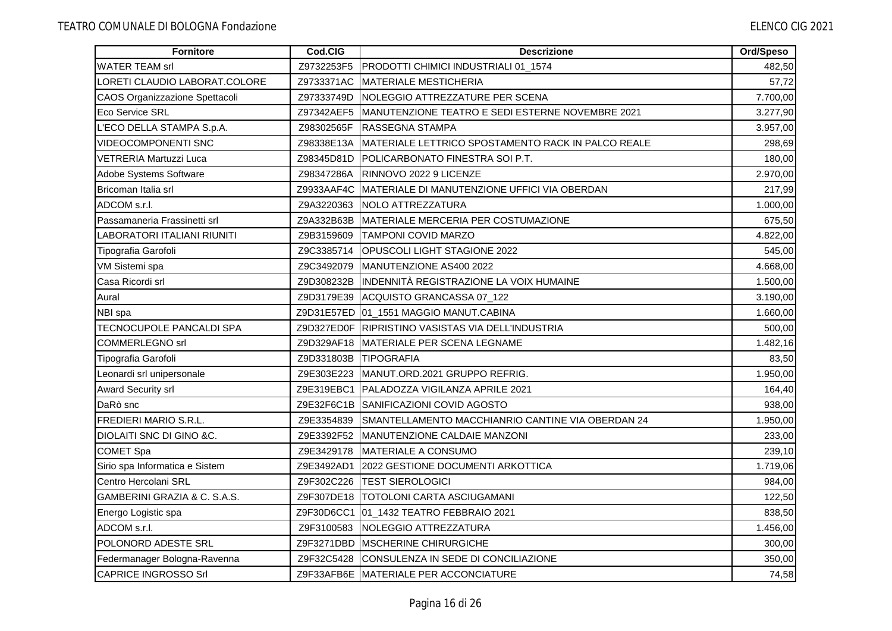| Fornitore                             | Cod.CIG               | <b>Descrizione</b>                                 | Ord/Speso |
|---------------------------------------|-----------------------|----------------------------------------------------|-----------|
| <b>WATER TEAM srl</b>                 | Z9732253F5            | PRODOTTI CHIMICI INDUSTRIALI 01_1574               | 482,50    |
| LORETI CLAUDIO LABORAT.COLORE         | Z9733371AC            | MATERIALE MESTICHERIA                              | 57,72     |
| <b>CAOS Organizzazione Spettacoli</b> | Z97333749D            | NOLEGGIO ATTREZZATURE PER SCENA                    | 7.700,00  |
| Eco Service SRL                       | Z97342AEF5            | MANUTENZIONE TEATRO E SEDI ESTERNE NOVEMBRE 2021   | 3.277,90  |
| L'ECO DELLA STAMPA S.p.A.             | Z98302565F            | <b>RASSEGNA STAMPA</b>                             | 3.957,00  |
| <b>VIDEOCOMPONENTI SNC</b>            | Z98338E13A            | MATERIALE LETTRICO SPOSTAMENTO RACK IN PALCO REALE | 298,69    |
| VETRERIA Martuzzi Luca                | Z98345D81D            | <b>POLICARBONATO FINESTRA SOI P.T.</b>             | 180,00    |
| Adobe Systems Software                | Z98347286A            | RINNOVO 2022 9 LICENZE                             | 2.970,00  |
| Bricoman Italia srl                   | Z9933AAF4C            | MATERIALE DI MANUTENZIONE UFFICI VIA OBERDAN       | 217,99    |
| ADCOM s.r.l.                          | Z9A3220363            | NOLO ATTREZZATURA                                  | 1.000,00  |
| Passamaneria Frassinetti srl          | Z9A332B63B            | MATERIALE MERCERIA PER COSTUMAZIONE                | 675,50    |
| LABORATORI ITALIANI RIUNITI           | Z9B3159609            | <b>TAMPONI COVID MARZO</b>                         | 4.822,00  |
| Tipografia Garofoli                   | Z9C3385714            | <b>OPUSCOLI LIGHT STAGIONE 2022</b>                | 545,00    |
| VM Sistemi spa                        | Z9C3492079            | MANUTENZIONE AS400 2022                            | 4.668,00  |
| Casa Ricordi srl                      | Z9D308232B            | INDENNITÀ REGISTRAZIONE LA VOIX HUMAINE            | 1.500,00  |
| Aural                                 | Z9D3179E39            | ACQUISTO GRANCASSA 07_122                          | 3.190,00  |
| NBI spa                               |                       | Z9D31E57ED 01_1551 MAGGIO MANUT.CABINA             | 1.660,00  |
| TECNOCUPOLE PANCALDI SPA              |                       | Z9D327ED0F RIPRISTINO VASISTAS VIA DELL'INDUSTRIA  | 500,00    |
| <b>COMMERLEGNO srl</b>                |                       | Z9D329AF18 MATERIALE PER SCENA LEGNAME             | 1.482,16  |
| Tipografia Garofoli                   | Z9D331803B TIPOGRAFIA |                                                    | 83,50     |
| Leonardi srl unipersonale             | Z9E303E223            | MANUT.ORD.2021 GRUPPO REFRIG.                      | 1.950,00  |
| <b>Award Security srl</b>             | Z9E319EBC1            | PALADOZZA VIGILANZA APRILE 2021                    | 164,40    |
| DaRò snc                              | Z9E32F6C1B            | <b>ISANIFICAZIONI COVID AGOSTO</b>                 | 938,00    |
| <b>FREDIERI MARIO S.R.L.</b>          | Z9E3354839            | SMANTELLAMENTO MACCHIANRIO CANTINE VIA OBERDAN 24  | 1.950,00  |
| DIOLAITI SNC DI GINO &C.              | Z9E3392F52            | MANUTENZIONE CALDAIE MANZONI                       | 233,00    |
| <b>COMET Spa</b>                      | Z9E3429178            | MATERIALE A CONSUMO                                | 239,10    |
| Sirio spa Informatica e Sistem        | Z9E3492AD1            | 2022 GESTIONE DOCUMENTI ARKOTTICA                  | 1.719,06  |
| Centro Hercolani SRL                  | Z9F302C226            | <b>TEST SIEROLOGICI</b>                            | 984,00    |
| GAMBERINI GRAZIA & C. S.A.S.          | Z9F307DE18            | <b>TOTOLONI CARTA ASCIUGAMANI</b>                  | 122,50    |
| Energo Logistic spa                   |                       | Z9F30D6CC1 01_1432 TEATRO FEBBRAIO 2021            | 838,50    |
| ADCOM s.r.l.                          | Z9F3100583            | NOLEGGIO ATTREZZATURA                              | 1.456,00  |
| POLONORD ADESTE SRL                   | Z9F3271DBD            | <b>MSCHERINE CHIRURGICHE</b>                       | 300,00    |
| Federmanager Bologna-Ravenna          | Z9F32C5428            | <b>ICONSULENZA IN SEDE DI CONCILIAZIONE</b>        | 350,00    |
| <b>CAPRICE INGROSSO Srl</b>           |                       | Z9F33AFB6E MATERIALE PER ACCONCIATURE              | 74,58     |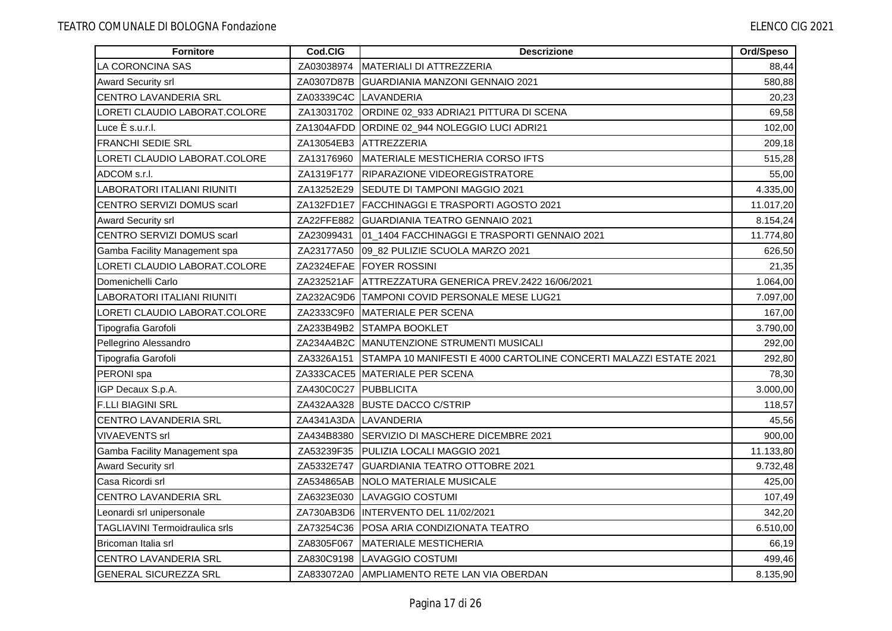| <b>Fornitore</b>                      | Cod.CIG    | <b>Descrizione</b>                                                | Ord/Speso |
|---------------------------------------|------------|-------------------------------------------------------------------|-----------|
| LA CORONCINA SAS                      | ZA03038974 | IMATERIALI DI ATTREZZERIA                                         | 88,44     |
| Award Security srl                    | ZA0307D87B | IGUARDIANIA MANZONI GENNAIO 2021                                  | 580,88    |
| CENTRO LAVANDERIA SRL                 |            | ZA03339C4C LAVANDERIA                                             | 20,23     |
| LORETI CLAUDIO LABORAT.COLORE         |            | ZA13031702 ORDINE 02_933 ADRIA21 PITTURA DI SCENA                 | 69,58     |
| Luce È s.u.r.l.                       |            | ZA1304AFDD ORDINE 02_944 NOLEGGIO LUCI ADRI21                     | 102,00    |
| <b>FRANCHI SEDIE SRL</b>              |            | ZA13054EB3 ATTREZZERIA                                            | 209,18    |
| LORETI CLAUDIO LABORAT.COLORE         | ZA13176960 | MATERIALE MESTICHERIA CORSO IFTS                                  | 515,28    |
| ADCOM s.r.l.                          | ZA1319F177 | <b>RIPARAZIONE VIDEOREGISTRATORE</b>                              | 55,00     |
| LABORATORI ITALIANI RIUNITI           | ZA13252E29 | <b>ISEDUTE DI TAMPONI MAGGIO 2021</b>                             | 4.335,00  |
| <b>CENTRO SERVIZI DOMUS scarl</b>     |            | ZA132FD1E7 FACCHINAGGI E TRASPORTI AGOSTO 2021                    | 11.017,20 |
| <b>Award Security srl</b>             |            | ZA22FFE882 GUARDIANIA TEATRO GENNAIO 2021                         | 8.154,24  |
| CENTRO SERVIZI DOMUS scarl            |            | ZA23099431 01_1404 FACCHINAGGI E TRASPORTI GENNAIO 2021           | 11.774,80 |
| Gamba Facility Management spa         | ZA23177A50 | 09_82 PULIZIE SCUOLA MARZO 2021                                   | 626,50    |
| LORETI CLAUDIO LABORAT.COLORE         |            | ZA2324EFAE FOYER ROSSINI                                          | 21,35     |
| Domenichelli Carlo                    | ZA232521AF | ATTREZZATURA GENERICA PREV.2422 16/06/2021                        | 1.064,00  |
| LABORATORI ITALIANI RIUNITI           |            | ZA232AC9D6 TAMPONI COVID PERSONALE MESE LUG21                     | 7.097,00  |
| LORETI CLAUDIO LABORAT.COLORE         | ZA2333C9F0 | <b>MATERIALE PER SCENA</b>                                        | 167,00    |
| Tipografia Garofoli                   |            | ZA233B49B2 STAMPA BOOKLET                                         | 3.790,00  |
| Pellegrino Alessandro                 |            | ZA234A4B2C MANUTENZIONE STRUMENTI MUSICALI                        | 292,00    |
| Tipografia Garofoli                   | ZA3326A151 | STAMPA 10 MANIFESTI E 4000 CARTOLINE CONCERTI MALAZZI ESTATE 2021 | 292,80    |
| PERONI spa                            |            | ZA333CACE5 MATERIALE PER SCENA                                    | 78,30     |
| IGP Decaux S.p.A.                     | ZA430C0C27 | PUBBLICITA                                                        | 3.000,00  |
| <b>F.LLI BIAGINI SRL</b>              | ZA432AA328 | <b>BUSTE DACCO C/STRIP</b>                                        | 118,57    |
| <b>CENTRO LAVANDERIA SRL</b>          |            | ZA4341A3DA LAVANDERIA                                             | 45,56     |
| <b>VIVAEVENTS srl</b>                 | ZA434B8380 | SERVIZIO DI MASCHERE DICEMBRE 2021                                | 900,00    |
| Gamba Facility Management spa         |            | ZA53239F35 PULIZIA LOCALI MAGGIO 2021                             | 11.133,80 |
| <b>Award Security srl</b>             | ZA5332E747 | <b>GUARDIANIA TEATRO OTTOBRE 2021</b>                             | 9.732,48  |
| Casa Ricordi srl                      | ZA534865AB | NOLO MATERIALE MUSICALE                                           | 425,00    |
| CENTRO LAVANDERIA SRL                 | ZA6323E030 | LAVAGGIO COSTUMI                                                  | 107,49    |
| Leonardi srl unipersonale             |            | ZA730AB3D6 IINTERVENTO DEL 11/02/2021                             | 342,20    |
| <b>TAGLIAVINI Termoidraulica srls</b> | ZA73254C36 | POSA ARIA CONDIZIONATA TEATRO                                     | 6.510,00  |
| Bricoman Italia srl                   | ZA8305F067 | MATERIALE MESTICHERIA                                             | 66,19     |
| <b>CENTRO LAVANDERIA SRL</b>          |            | ZA830C9198 LAVAGGIO COSTUMI                                       | 499,46    |
| <b>GENERAL SICUREZZA SRL</b>          |            | ZA833072A0 AMPLIAMENTO RETE LAN VIA OBERDAN                       | 8.135,90  |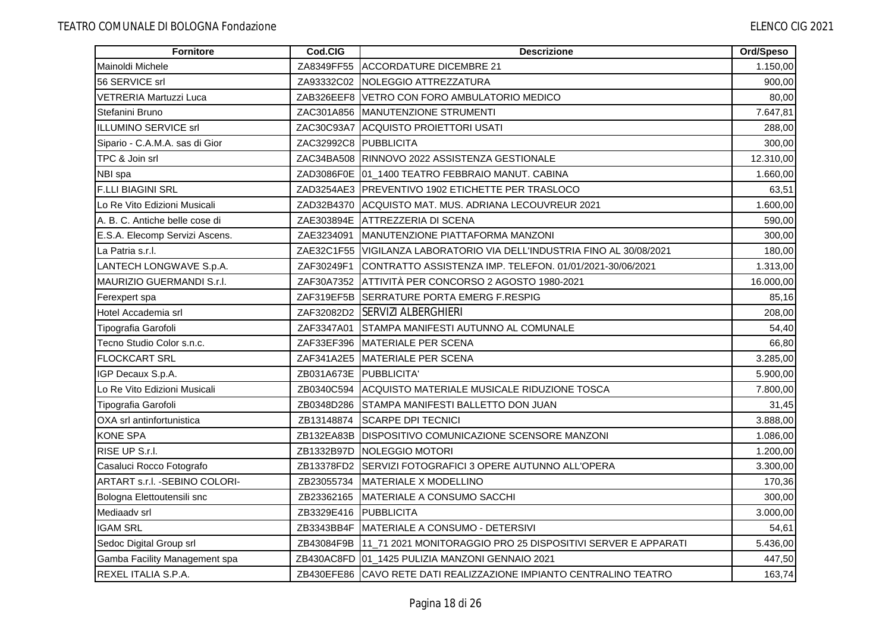| <b>Fornitore</b>               | Cod.CIG                | <b>Descrizione</b>                                                      | Ord/Speso |
|--------------------------------|------------------------|-------------------------------------------------------------------------|-----------|
| Mainoldi Michele               | ZA8349FF55             | <b>ACCORDATURE DICEMBRE 21</b>                                          | 1.150,00  |
| 56 SERVICE srl                 | ZA93332C02             | <b>INOLEGGIO ATTREZZATURA</b>                                           | 900,00    |
| VETRERIA Martuzzi Luca         |                        | ZAB326EEF8 VETRO CON FORO AMBULATORIO MEDICO                            | 80,00     |
| Stefanini Bruno                |                        | ZAC301A856   MANUTENZIONE STRUMENTI                                     | 7.647,81  |
| ILLUMINO SERVICE srl           |                        | ZAC30C93A7 ACQUISTO PROIETTORI USATI                                    | 288,00    |
| Sipario - C.A.M.A. sas di Gior | ZAC32992C8 PUBBLICITA  |                                                                         | 300,00    |
| TPC & Join srl                 |                        | ZAC34BA508 RINNOVO 2022 ASSISTENZA GESTIONALE                           | 12.310,00 |
| NBI spa                        |                        | ZAD3086F0E 01_1400 TEATRO FEBBRAIO MANUT. CABINA                        | 1.660,00  |
| <b>F.LLI BIAGINI SRL</b>       |                        | ZAD3254AE3 IPREVENTIVO 1902 ETICHETTE PER TRASLOCO                      | 63,51     |
| Lo Re Vito Edizioni Musicali   |                        | ZAD32B4370 ACQUISTO MAT. MUS. ADRIANA LECOUVREUR 2021                   | 1.600,00  |
| A. B. C. Antiche belle cose di |                        | ZAE303894E ATTREZZERIA DI SCENA                                         | 590,00    |
| E.S.A. Elecomp Servizi Ascens. |                        | ZAE3234091 MANUTENZIONE PIATTAFORMA MANZONI                             | 300.00    |
| La Patria s.r.l.               |                        | ZAE32C1F55 VIGILANZA LABORATORIO VIA DELL'INDUSTRIA FINO AL 30/08/2021  | 180,00    |
| LANTECH LONGWAVE S.p.A.        |                        | ZAF30249F1 CONTRATTO ASSISTENZA IMP. TELEFON. 01/01/2021-30/06/2021     | 1.313,00  |
| MAURIZIO GUERMANDI S.r.I.      | ZAF30A7352             | ATTIVITÀ PER CONCORSO 2 AGOSTO 1980-2021                                | 16.000,00 |
| Ferexpert spa                  |                        | ZAF319EF5B SERRATURE PORTA EMERG F.RESPIG                               | 85,16     |
| Hotel Accademia srl            |                        | ZAF32082D2 SERVIZI ALBERGHIERI                                          | 208,00    |
| Tipografia Garofoli            |                        | ZAF3347A01 STAMPA MANIFESTI AUTUNNO AL COMUNALE                         | 54,40     |
| Tecno Studio Color s.n.c.      |                        | ZAF33EF396 MATERIALE PER SCENA                                          | 66,80     |
| <b>FLOCKCART SRL</b>           |                        | ZAF341A2E5 MATERIALE PER SCENA                                          | 3.285,00  |
| IGP Decaux S.p.A.              | ZB031A673E PUBBLICITA' |                                                                         | 5.900,00  |
| Lo Re Vito Edizioni Musicali   | ZB0340C594             | ACQUISTO MATERIALE MUSICALE RIDUZIONE TOSCA                             | 7.800.00  |
| Tipografia Garofoli            |                        | ZB0348D286 STAMPA MANIFESTI BALLETTO DON JUAN                           | 31,45     |
| OXA srl antinfortunistica      |                        | ZB13148874 SCARPE DPI TECNICI                                           | 3.888,00  |
| <b>KONE SPA</b>                |                        | ZB132EA83B DISPOSITIVO COMUNICAZIONE SCENSORE MANZONI                   | 1.086,00  |
| RISE UP S.r.l.                 |                        | ZB1332B97D NOLEGGIO MOTORI                                              | 1.200,00  |
| Casaluci Rocco Fotografo       |                        | ZB13378FD2 SERVIZI FOTOGRAFICI 3 OPERE AUTUNNO ALL'OPERA                | 3.300,00  |
| ARTART s.r.l. - SEBINO COLORI- | ZB23055734             | MATERIALE X MODELLINO                                                   | 170,36    |
| Bologna Elettoutensili snc     | ZB23362165             | MATERIALE A CONSUMO SACCHI                                              | 300,00    |
| Mediaadv srl                   | ZB3329E416             | <b>IPUBBLICITA</b>                                                      | 3.000,00  |
| <b>IGAM SRL</b>                |                        | ZB3343BB4F MATERIALE A CONSUMO - DETERSIVI                              | 54,61     |
| Sedoc Digital Group srl        |                        | ZB43084F9B 11_71 2021 MONITORAGGIO PRO 25 DISPOSITIVI SERVER E APPARATI | 5.436,00  |
| Gamba Facility Management spa  |                        | ZB430AC8FD 01_1425 PULIZIA MANZONI GENNAIO 2021                         | 447,50    |
| REXEL ITALIA S.P.A.            |                        | ZB430EFE86 CAVO RETE DATI REALIZZAZIONE IMPIANTO CENTRALINO TEATRO      | 163,74    |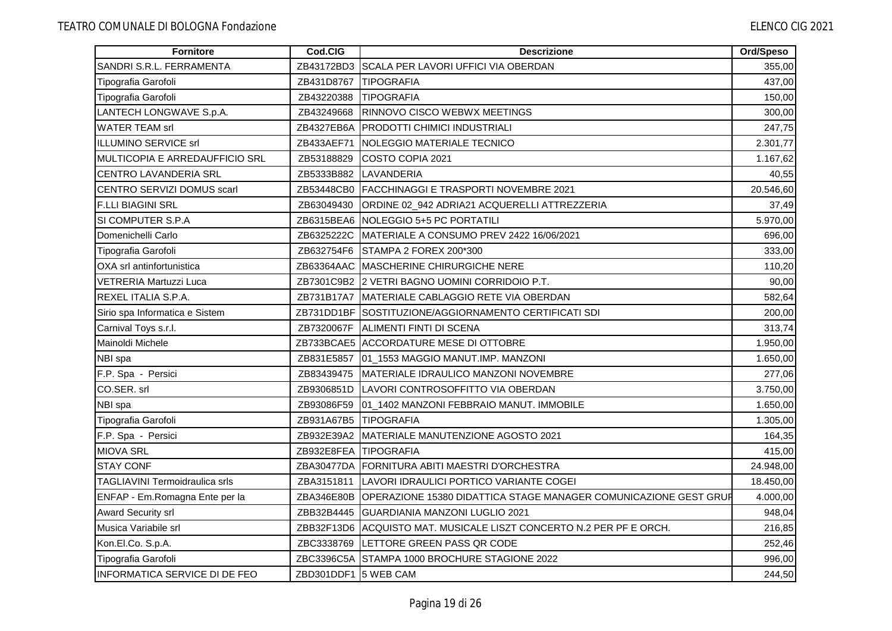| Fornitore                             | Cod.CIG               | <b>Descrizione</b>                                                          | Ord/Speso |
|---------------------------------------|-----------------------|-----------------------------------------------------------------------------|-----------|
| SANDRI S.R.L. FERRAMENTA              |                       | ZB43172BD3 SCALA PER LAVORI UFFICI VIA OBERDAN                              | 355,00    |
| Tipografia Garofoli                   | ZB431D8767            | <b>TIPOGRAFIA</b>                                                           | 437,00    |
| Tipografia Garofoli                   | ZB43220388            | <b>TIPOGRAFIA</b>                                                           | 150,00    |
| LANTECH LONGWAVE S.p.A.               | ZB43249668            | <b>RINNOVO CISCO WEBWX MEETINGS</b>                                         | 300,00    |
| <b>WATER TEAM srl</b>                 | ZB4327EB6A            | <b>PRODOTTI CHIMICI INDUSTRIALI</b>                                         | 247,75    |
| <b>ILLUMINO SERVICE srl</b>           |                       | ZB433AEF71 NOLEGGIO MATERIALE TECNICO                                       | 2.301,77  |
| <b>MULTICOPIA E ARREDAUFFICIO SRL</b> | ZB53188829            | COSTO COPIA 2021                                                            | 1.167,62  |
| CENTRO LAVANDERIA SRL                 |                       | ZB5333B882 LAVANDERIA                                                       | 40,55     |
| CENTRO SERVIZI DOMUS scarl            |                       | ZB53448CB0 FACCHINAGGI E TRASPORTI NOVEMBRE 2021                            | 20.546,60 |
| <b>F.LLI BIAGINI SRL</b>              |                       | ZB63049430 ORDINE 02_942 ADRIA21 ACQUERELLI ATTREZZERIA                     | 37,49     |
| SI COMPUTER S.P.A                     |                       | ZB6315BEA6 NOLEGGIO 5+5 PC PORTATILI                                        | 5.970,00  |
| Domenichelli Carlo                    |                       | ZB6325222C MATERIALE A CONSUMO PREV 2422 16/06/2021                         | 696,00    |
| Tipografia Garofoli                   |                       | ZB632754F6 STAMPA 2 FOREX 200*300                                           | 333,00    |
| OXA srl antinfortunistica             |                       | ZB63364AAC MASCHERINE CHIRURGICHE NERE                                      | 110,20    |
| VETRERIA Martuzzi Luca                |                       | ZB7301C9B2 2 VETRI BAGNO UOMINI CORRIDOIO P.T.                              | 90,00     |
| REXEL ITALIA S.P.A.                   |                       | ZB731B17A7 MATERIALE CABLAGGIO RETE VIA OBERDAN                             | 582,64    |
| Sirio spa Informatica e Sistem        |                       | ZB731DD1BF SOSTITUZIONE/AGGIORNAMENTO CERTIFICATI SDI                       | 200,00    |
| Carnival Toys s.r.l.                  |                       | ZB7320067F ALIMENTI FINTI DI SCENA                                          | 313,74    |
| Mainoldi Michele                      |                       | ZB733BCAE5 ACCORDATURE MESE DI OTTOBRE                                      | 1.950,00  |
| NBI spa                               |                       | ZB831E5857 01_1553 MAGGIO MANUT.IMP. MANZONI                                | 1.650,00  |
| F.P. Spa - Persici                    | ZB83439475            | MATERIALE IDRAULICO MANZONI NOVEMBRE                                        | 277,06    |
| CO.SER. srl                           | ZB9306851D            | LAVORI CONTROSOFFITTO VIA OBERDAN                                           | 3.750,00  |
| NBI spa                               | ZB93086F59            | 01_1402 MANZONI FEBBRAIO MANUT. IMMOBILE                                    | 1.650,00  |
| Tipografia Garofoli                   | ZB931A67B5 TIPOGRAFIA |                                                                             | 1.305,00  |
| F.P. Spa - Persici                    |                       | ZB932E39A2 MATERIALE MANUTENZIONE AGOSTO 2021                               | 164,35    |
| <b>MIOVA SRL</b>                      | ZB932E8FEA TIPOGRAFIA |                                                                             | 415,00    |
| <b>STAY CONF</b>                      |                       | ZBA30477DA FORNITURA ABITI MAESTRI D'ORCHESTRA                              | 24.948,00 |
| <b>TAGLIAVINI Termoidraulica srls</b> |                       | ZBA3151811  LAVORI IDRAULICI PORTICO VARIANTE COGEI                         | 18.450,00 |
| ENFAP - Em.Romagna Ente per la        |                       | ZBA346E80B OPERAZIONE 15380 DIDATTICA STAGE MANAGER COMUNICAZIONE GEST GRUF | 4.000,00  |
| <b>Award Security srl</b>             |                       | ZBB32B4445 GUARDIANIA MANZONI LUGLIO 2021                                   | 948,04    |
| Musica Variabile srl                  |                       | ZBB32F13D6 ACQUISTO MAT. MUSICALE LISZT CONCERTO N.2 PER PF E ORCH.         | 216,85    |
| Kon.El.Co. S.p.A.                     |                       | ZBC3338769 LETTORE GREEN PASS QR CODE                                       | 252,46    |
| Tipografia Garofoli                   |                       | ZBC3396C5A STAMPA 1000 BROCHURE STAGIONE 2022                               | 996,00    |
| <b>INFORMATICA SERVICE DI DE FEO</b>  | ZBD301DDF1 5 WEB CAM  |                                                                             | 244,50    |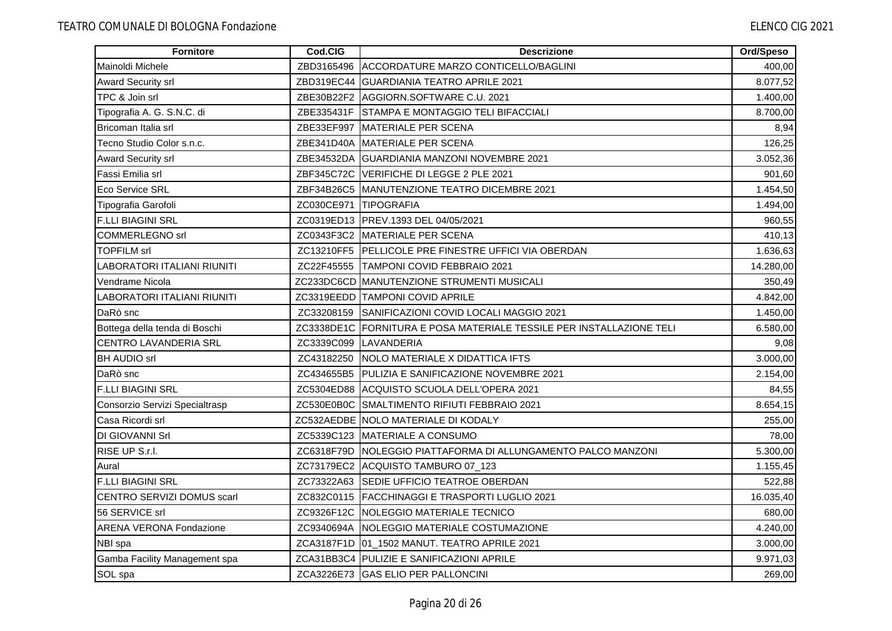| Fornitore                          | Cod.CIG               | <b>Descrizione</b>                                                   | Ord/Speso |
|------------------------------------|-----------------------|----------------------------------------------------------------------|-----------|
| Mainoldi Michele                   | ZBD3165496            | ACCORDATURE MARZO CONTICELLO/BAGLINI                                 | 400,00    |
| <b>Award Security srl</b>          |                       | ZBD319EC44 GUARDIANIA TEATRO APRILE 2021                             | 8.077,52  |
| TPC & Join srl                     |                       | ZBE30B22F2 AGGIORN.SOFTWARE C.U. 2021                                | 1.400,00  |
| Tipografia A. G. S.N.C. di         |                       | ZBE335431F STAMPA E MONTAGGIO TELI BIFACCIALI                        | 8.700,00  |
| Bricoman Italia srl                |                       | ZBE33EF997 MATERIALE PER SCENA                                       | 8,94      |
| Tecno Studio Color s.n.c.          |                       | ZBE341D40A MATERIALE PER SCENA                                       | 126,25    |
| Award Security srl                 |                       | ZBE34532DA   GUARDIANIA MANZONI NOVEMBRE 2021                        | 3.052,36  |
| Fassi Emilia srl                   |                       | ZBF345C72C VERIFICHE DI LEGGE 2 PLE 2021                             | 901,60    |
| Eco Service SRL                    |                       | ZBF34B26C5 MANUTENZIONE TEATRO DICEMBRE 2021                         | 1.454,50  |
| Tipografia Garofoli                | ZC030CE971 TIPOGRAFIA |                                                                      | 1.494,00  |
| <b>F.LLI BIAGINI SRL</b>           |                       | ZC0319ED13 PREV.1393 DEL 04/05/2021                                  | 960,55    |
| <b>COMMERLEGNO srl</b>             |                       | ZC0343F3C2 MATERIALE PER SCENA                                       | 410,13    |
| <b>TOPFILM srl</b>                 |                       | ZC13210FF5 PELLICOLE PRE FINESTRE UFFICI VIA OBERDAN                 | 1.636,63  |
| LABORATORI ITALIANI RIUNITI        |                       | ZC22F45555 TAMPONI COVID FEBBRAIO 2021                               | 14.280,00 |
| Vendrame Nicola                    |                       | ZC233DC6CD MANUTENZIONE STRUMENTI MUSICALI                           | 350,49    |
| <b>LABORATORI ITALIANI RIUNITI</b> |                       | <b>ZC3319EEDD TAMPONI COVID APRILE</b>                               | 4.842,00  |
| DaRò snc                           |                       | ZC33208159 SANIFICAZIONI COVID LOCALI MAGGIO 2021                    | 1.450,00  |
| Bottega della tenda di Boschi      |                       | ZC3338DE1C FORNITURA E POSA MATERIALE TESSILE PER INSTALLAZIONE TELI | 6.580,00  |
| <b>CENTRO LAVANDERIA SRL</b>       |                       | ZC3339C099 LAVANDERIA                                                | 9,08      |
| <b>BH AUDIO srl</b>                | ZC43182250            | <b>INOLO MATERIALE X DIDATTICA IFTS</b>                              | 3.000,00  |
| DaRò snc                           |                       | ZC434655B5 PULIZIA E SANIFICAZIONE NOVEMBRE 2021                     | 2.154,00  |
| <b>F.LLI BIAGINI SRL</b>           |                       | ZC5304ED88 ACQUISTO SCUOLA DELL'OPERA 2021                           | 84,55     |
| Consorzio Servizi Specialtrasp     |                       | ZC530E0B0C SMALTIMENTO RIFIUTI FEBBRAIO 2021                         | 8.654,15  |
| Casa Ricordi srl                   |                       | ZC532AEDBE NOLO MATERIALE DI KODALY                                  | 255,00    |
| DI GIOVANNI Srl                    |                       | ZC5339C123 MATERIALE A CONSUMO                                       | 78,00     |
| RISE UP S.r.l.                     |                       | ZC6318F79D INOLEGGIO PIATTAFORMA DI ALLUNGAMENTO PALCO MANZONI       | 5.300,00  |
| Aural                              |                       | ZC73179EC2 ACQUISTO TAMBURO 07_123                                   | 1.155,45  |
| <b>F.LLI BIAGINI SRL</b>           |                       | ZC73322A63 SEDIE UFFICIO TEATROE OBERDAN                             | 522,88    |
| CENTRO SERVIZI DOMUS scarl         |                       | ZC832C0115   FACCHINAGGI E TRASPORTI LUGLIO 2021                     | 16.035,40 |
| 56 SERVICE srl                     |                       | ZC9326F12C NOLEGGIO MATERIALE TECNICO                                | 680,00    |
| <b>ARENA VERONA Fondazione</b>     |                       | ZC9340694A NOLEGGIO MATERIALE COSTUMAZIONE                           | 4.240,00  |
| NBI spa                            |                       | ZCA3187F1D 01_1502 MANUT. TEATRO APRILE 2021                         | 3.000,00  |
| Gamba Facility Management spa      |                       | ZCA31BB3C4 PULIZIE E SANIFICAZIONI APRILE                            | 9.971,03  |
| SOL spa                            |                       | ZCA3226E73 GAS ELIO PER PALLONCINI                                   | 269,00    |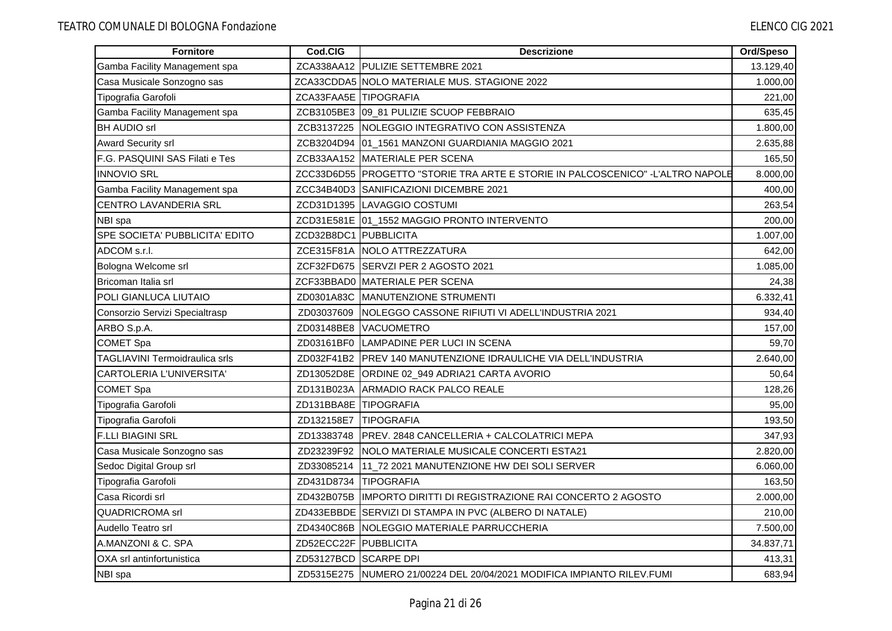| <b>Fornitore</b>               | Cod.CIG               | <b>Descrizione</b>                                                             | Ord/Speso |
|--------------------------------|-----------------------|--------------------------------------------------------------------------------|-----------|
| Gamba Facility Management spa  |                       | ZCA338AA12 PULIZIE SETTEMBRE 2021                                              | 13.129,40 |
| Casa Musicale Sonzogno sas     |                       | ZCA33CDDA5   NOLO MATERIALE MUS. STAGIONE 2022                                 | 1.000.00  |
| Tipografia Garofoli            | ZCA33FAA5E TIPOGRAFIA |                                                                                | 221,00    |
| Gamba Facility Management spa  |                       | ZCB3105BE3 09_81 PULIZIE SCUOP FEBBRAIO                                        | 635,45    |
| <b>BH AUDIO srl</b>            |                       | ZCB3137225 NOLEGGIO INTEGRATIVO CON ASSISTENZA                                 | 1.800,00  |
| Award Security srl             |                       | ZCB3204D94 01_1561 MANZONI GUARDIANIA MAGGIO 2021                              | 2.635,88  |
| F.G. PASQUINI SAS Filati e Tes |                       | ZCB33AA152 MATERIALE PER SCENA                                                 | 165,50    |
| <b>INNOVIO SRL</b>             |                       | ZCC33D6D55 PROGETTO "STORIE TRA ARTE E STORIE IN PALCOSCENICO" -L'ALTRO NAPOLE | 8.000,00  |
| Gamba Facility Management spa  |                       | ZCC34B40D3 SANIFICAZIONI DICEMBRE 2021                                         | 400,00    |
| <b>CENTRO LAVANDERIA SRL</b>   |                       | ZCD31D1395 LAVAGGIO COSTUMI                                                    | 263,54    |
| NBI spa                        |                       | ZCD31E581E 01_1552 MAGGIO PRONTO INTERVENTO                                    | 200,00    |
| SPE SOCIETA' PUBBLICITA' EDITO | ZCD32B8DC1 PUBBLICITA |                                                                                | 1.007,00  |
| ADCOM s.r.l.                   |                       | ZCE315F81A   NOLO ATTREZZATURA                                                 | 642,00    |
| Bologna Welcome srl            |                       | ZCF32FD675 SERVZI PER 2 AGOSTO 2021                                            | 1.085,00  |
| Bricoman Italia srl            |                       | ZCF33BBAD0 MATERIALE PER SCENA                                                 | 24,38     |
| POLI GIANLUCA LIUTAIO          |                       | ZD0301A83C MANUTENZIONE STRUMENTI                                              | 6.332,41  |
| Consorzio Servizi Specialtrasp | ZD03037609            | NOLEGGO CASSONE RIFIUTI VI ADELL'INDUSTRIA 2021                                | 934,40    |
| ARBO S.p.A.                    |                       | ZD03148BE8 VACUOMETRO                                                          | 157,00    |
| <b>COMET Spa</b>               |                       | ZD03161BF0 LAMPADINE PER LUCI IN SCENA                                         | 59,70     |
| TAGLIAVINI Termoidraulica srls |                       | ZD032F41B2 PREV 140 MANUTENZIONE IDRAULICHE VIA DELL'INDUSTRIA                 | 2.640,00  |
| CARTOLERIA L'UNIVERSITA'       |                       | ZD13052D8E ORDINE 02_949 ADRIA21 CARTA AVORIO                                  | 50,64     |
| <b>COMET Spa</b>               | ZD131B023A            | <b>IARMADIO RACK PALCO REALE</b>                                               | 128,26    |
| Tipografia Garofoli            | ZD131BBA8E TIPOGRAFIA |                                                                                | 95,00     |
| Tipografia Garofoli            | ZD132158E7            | <b>TIPOGRAFIA</b>                                                              | 193,50    |
| <b>F.LLI BIAGINI SRL</b>       |                       | ZD13383748   PREV. 2848 CANCELLERIA + CALCOLATRICI MEPA                        | 347,93    |
| Casa Musicale Sonzogno sas     |                       | ZD23239F92   NOLO MATERIALE MUSICALE CONCERTI ESTA21                           | 2.820,00  |
| Sedoc Digital Group srl        | ZD33085214            | 11_72 2021 MANUTENZIONE HW DEI SOLI SERVER                                     | 6.060,00  |
| Tipografia Garofoli            | ZD431D8734            | <b>TIPOGRAFIA</b>                                                              | 163,50    |
| Casa Ricordi srl               |                       | ZD432B075B IIMPORTO DIRITTI DI REGISTRAZIONE RAI CONCERTO 2 AGOSTO             | 2.000,00  |
| <b>QUADRICROMA</b> srl         |                       | ZD433EBBDE SERVIZI DI STAMPA IN PVC (ALBERO DI NATALE)                         | 210,00    |
| Audello Teatro srl             |                       | ZD4340C86B NOLEGGIO MATERIALE PARRUCCHERIA                                     | 7.500,00  |
| A.MANZONI & C. SPA             | ZD52ECC22F PUBBLICITA |                                                                                | 34.837,71 |
| OXA srl antinfortunistica      | ZD53127BCD SCARPE DPI |                                                                                | 413,31    |
| NBI spa                        |                       | ZD5315E275 NUMERO 21/00224 DEL 20/04/2021 MODIFICA IMPIANTO RILEV.FUMI         | 683,94    |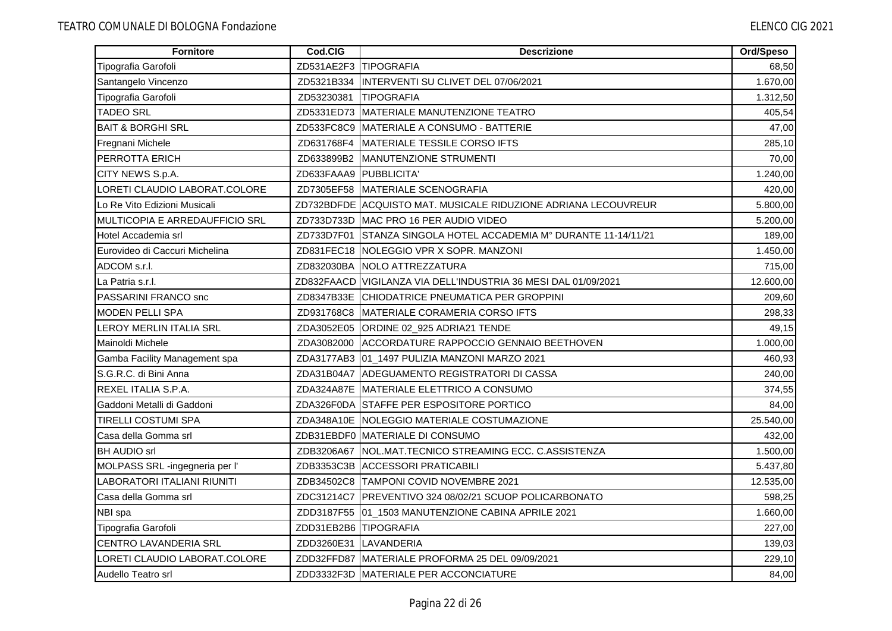| Fornitore                      | Cod.CIG                | <b>Descrizione</b>                                               | Ord/Speso |
|--------------------------------|------------------------|------------------------------------------------------------------|-----------|
| Tipografia Garofoli            | ZD531AE2F3 TIPOGRAFIA  |                                                                  | 68,50     |
| Santangelo Vincenzo            |                        | ZD5321B334  INTERVENTI SU CLIVET DEL 07/06/2021                  | 1.670,00  |
| Tipografia Garofoli            | ZD53230381             | <b>TIPOGRAFIA</b>                                                | 1.312,50  |
| <b>TADEO SRL</b>               |                        | ZD5331ED73 MATERIALE MANUTENZIONE TEATRO                         | 405,54    |
| <b>BAIT &amp; BORGHI SRL</b>   |                        | ZD533FC8C9 MATERIALE A CONSUMO - BATTERIE                        | 47,00     |
| Fregnani Michele               | ZD631768F4             | MATERIALE TESSILE CORSO IFTS                                     | 285,10    |
| PERROTTA ERICH                 |                        | ZD633899B2 MANUTENZIONE STRUMENTI                                | 70,00     |
| CITY NEWS S.p.A.               | ZD633FAAA9 PUBBLICITA' |                                                                  | 1.240,00  |
| LORETI CLAUDIO LABORAT.COLORE  | ZD7305EF58             | MATERIALE SCENOGRAFIA                                            | 420,00    |
| Lo Re Vito Edizioni Musicali   |                        | ZD732BDFDE ACQUISTO MAT. MUSICALE RIDUZIONE ADRIANA LECOUVREUR   | 5.800,00  |
| MULTICOPIA E ARREDAUFFICIO SRL |                        | ZD733D733D MAC PRO 16 PER AUDIO VIDEO                            | 5.200,00  |
| Hotel Accademia srl            |                        | ZD733D7F01 STANZA SINGOLA HOTEL ACCADEMIA M° DURANTE 11-14/11/21 | 189,00    |
| Eurovideo di Caccuri Michelina |                        | ZD831FEC18 NOLEGGIO VPR X SOPR. MANZONI                          | 1.450,00  |
| ADCOM s.r.l.                   |                        | ZD832030BA NOLO ATTREZZATURA                                     | 715,00    |
| La Patria s.r.l.               |                        | ZD832FAACD VIGILANZA VIA DELL'INDUSTRIA 36 MESI DAL 01/09/2021   | 12.600,00 |
| PASSARINI FRANCO snc           |                        | ZD8347B33E CHIODATRICE PNEUMATICA PER GROPPINI                   | 209,60    |
| <b>MODEN PELLI SPA</b>         |                        | ZD931768C8 MATERIALE CORAMERIA CORSO IFTS                        | 298,33    |
| LEROY MERLIN ITALIA SRL        |                        | ZDA3052E05 ORDINE 02_925 ADRIA21 TENDE                           | 49,15     |
| Mainoldi Michele               |                        | ZDA3082000 ACCORDATURE RAPPOCCIO GENNAIO BEETHOVEN               | 1.000,00  |
| Gamba Facility Management spa  |                        | ZDA3177AB3 01_1497 PULIZIA MANZONI MARZO 2021                    | 460,93    |
| S.G.R.C. di Bini Anna          |                        | ZDA31B04A7 ADEGUAMENTO REGISTRATORI DI CASSA                     | 240,00    |
| REXEL ITALIA S.P.A.            |                        | ZDA324A87E MATERIALE ELETTRICO A CONSUMO                         | 374,55    |
| Gaddoni Metalli di Gaddoni     |                        | ZDA326F0DA STAFFE PER ESPOSITORE PORTICO                         | 84,00     |
| <b>TIRELLI COSTUMI SPA</b>     |                        | ZDA348A10E NOLEGGIO MATERIALE COSTUMAZIONE                       | 25.540,00 |
| Casa della Gomma srl           |                        | ZDB31EBDF0 MATERIALE DI CONSUMO                                  | 432,00    |
| <b>BH AUDIO srl</b>            |                        | ZDB3206A67 NOL.MAT.TECNICO STREAMING ECC. C.ASSISTENZA           | 1.500,00  |
| MOLPASS SRL -ingegneria per l' |                        | ZDB3353C3B ACCESSORI PRATICABILI                                 | 5.437,80  |
| LABORATORI ITALIANI RIUNITI    |                        | ZDB34502C8 TAMPONI COVID NOVEMBRE 2021                           | 12.535,00 |
| Casa della Gomma srl           |                        | ZDC31214C7 PREVENTIVO 324 08/02/21 SCUOP POLICARBONATO           | 598,25    |
| NBI spa                        |                        | ZDD3187F55 01_1503 MANUTENZIONE CABINA APRILE 2021               | 1.660,00  |
| Tipografia Garofoli            | ZDD31EB2B6 TIPOGRAFIA  |                                                                  | 227,00    |
| CENTRO LAVANDERIA SRL          |                        | ZDD3260E31 LAVANDERIA                                            | 139,03    |
| LORETI CLAUDIO LABORAT.COLORE  |                        | ZDD32FFD87 MATERIALE PROFORMA 25 DEL 09/09/2021                  | 229,10    |
| Audello Teatro srl             |                        | ZDD3332F3D MATERIALE PER ACCONCIATURE                            | 84,00     |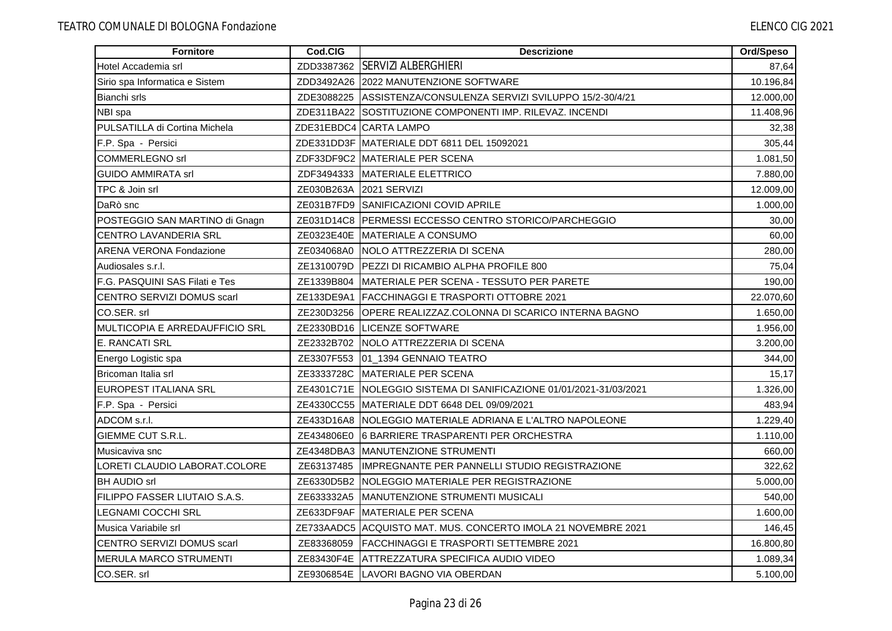| Fornitore                         | Cod.CIG    | <b>Descrizione</b>                                             | Ord/Speso |
|-----------------------------------|------------|----------------------------------------------------------------|-----------|
| Hotel Accademia srl               | ZDD3387362 | <b>SERVIZI ALBERGHIERI</b>                                     | 87,64     |
| Sirio spa Informatica e Sistem    | ZDD3492A26 | 2022 MANUTENZIONE SOFTWARE                                     | 10.196,84 |
| Bianchi srls                      |            | ZDE3088225 ASSISTENZA/CONSULENZA SERVIZI SVILUPPO 15/2-30/4/21 | 12.000,00 |
| NBI spa                           |            | ZDE311BA22 SOSTITUZIONE COMPONENTI IMP. RILEVAZ. INCENDI       | 11.408,96 |
| PULSATILLA di Cortina Michela     |            | ZDE31EBDC4 CARTA LAMPO                                         | 32,38     |
| F.P. Spa - Persici                |            | ZDE331DD3F MATERIALE DDT 6811 DEL 15092021                     | 305,44    |
| <b>COMMERLEGNO</b> srl            |            | ZDF33DF9C2 MATERIALE PER SCENA                                 | 1.081,50  |
| <b>GUIDO AMMIRATA srl</b>         |            | ZDF3494333 MATERIALE ELETTRICO                                 | 7.880,00  |
| TPC & Join srl                    | ZE030B263A | 2021 SERVIZI                                                   | 12.009,00 |
| DaRò snc                          |            | ZE031B7FD9 SANIFICAZIONI COVID APRILE                          | 1.000,00  |
| POSTEGGIO SAN MARTINO di Gnagn    |            | ZE031D14C8 PERMESSI ECCESSO CENTRO STORICO/PARCHEGGIO          | 30,00     |
| <b>CENTRO LAVANDERIA SRL</b>      |            | ZE0323E40E MATERIALE A CONSUMO                                 | 60,00     |
| <b>ARENA VERONA Fondazione</b>    | ZE034068A0 | <b>INOLO ATTREZZERIA DI SCENA</b>                              | 280,00    |
| Audiosales s.r.l.                 | ZE1310079D | PEZZI DI RICAMBIO ALPHA PROFILE 800                            | 75,04     |
| F.G. PASQUINI SAS Filati e Tes    | ZE1339B804 | IMATERIALE PER SCENA - TESSUTO PER PARETE                      | 190,00    |
| CENTRO SERVIZI DOMUS scarl        | ZE133DE9A1 | FACCHINAGGI E TRASPORTI OTTOBRE 2021                           | 22.070,60 |
| CO.SER. srl                       | ZE230D3256 | IOPERE REALIZZAZ.COLONNA DI SCARICO INTERNA BAGNO              | 1.650,00  |
| MULTICOPIA E ARREDAUFFICIO SRL    | ZE2330BD16 | <b>LICENZE SOFTWARE</b>                                        | 1.956,00  |
| E. RANCATI SRL                    |            | ZE2332B702 NOLO ATTREZZERIA DI SCENA                           | 3.200,00  |
| Energo Logistic spa               |            | ZE3307F553 01_1394 GENNAIO TEATRO                              | 344,00    |
| Bricoman Italia srl               | ZE3333728C | MATERIALE PER SCENA                                            | 15,17     |
| <b>EUROPEST ITALIANA SRL</b>      | ZE4301C71E | NOLEGGIO SISTEMA DI SANIFICAZIONE 01/01/2021-31/03/2021        | 1.326,00  |
| F.P. Spa - Persici                | ZE4330CC55 | MATERIALE DDT 6648 DEL 09/09/2021                              | 483,94    |
| ADCOM s.r.l.                      | ZE433D16A8 | NOLEGGIO MATERIALE ADRIANA E L'ALTRO NAPOLEONE                 | 1.229,40  |
| GIEMME CUT S.R.L.                 | ZE434806E0 | 6 BARRIERE TRASPARENTI PER ORCHESTRA                           | 1.110,00  |
| Musicaviva snc                    |            | ZE4348DBA3 MANUTENZIONE STRUMENTI                              | 660,00    |
| LORETI CLAUDIO LABORAT.COLORE     | ZE63137485 | IIMPREGNANTE PER PANNELLI STUDIO REGISTRAZIONE                 | 322,62    |
| <b>BH AUDIO srl</b>               | ZE6330D5B2 | NOLEGGIO MATERIALE PER REGISTRAZIONE                           | 5.000,00  |
| FILIPPO FASSER LIUTAIO S.A.S.     | ZE633332A5 | MANUTENZIONE STRUMENTI MUSICALI                                | 540,00    |
| <b>LEGNAMI COCCHI SRL</b>         | ZE633DF9AF | MATERIALE PER SCENA                                            | 1.600,00  |
| Musica Variabile srl              |            | ZE733AADC5 ACQUISTO MAT. MUS. CONCERTO IMOLA 21 NOVEMBRE 2021  | 146,45    |
| <b>CENTRO SERVIZI DOMUS scarl</b> | ZE83368059 | IFACCHINAGGI E TRASPORTI SETTEMBRE 2021                        | 16.800,80 |
| <b>MERULA MARCO STRUMENTI</b>     |            | ZE83430F4E ATTREZZATURA SPECIFICA AUDIO VIDEO                  | 1.089,34  |
| CO.SER. srl                       |            | ZE9306854E LAVORI BAGNO VIA OBERDAN                            | 5.100,00  |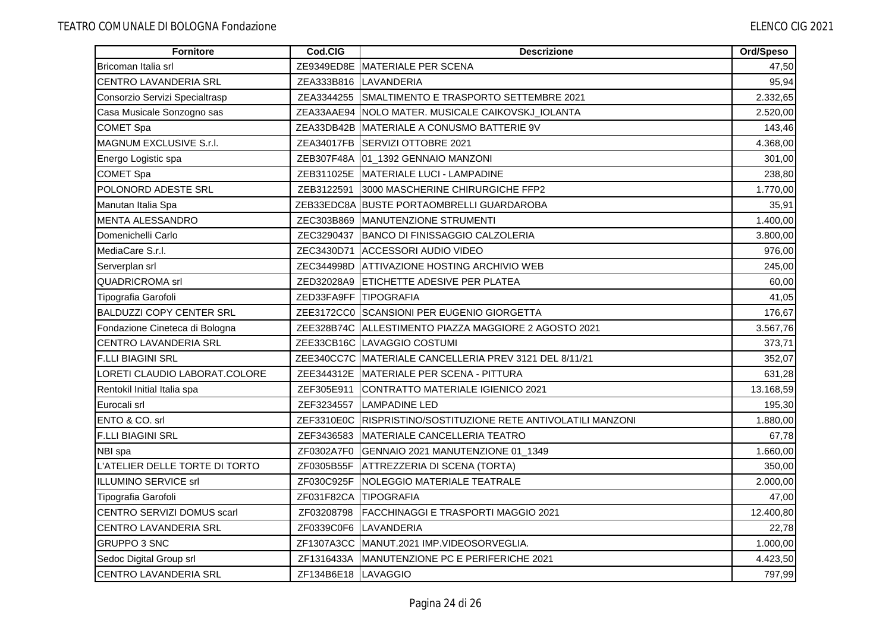| <b>Fornitore</b>                | Cod.CIG               | <b>Descrizione</b>                                            | Ord/Speso |
|---------------------------------|-----------------------|---------------------------------------------------------------|-----------|
| Bricoman Italia srl             |                       | ZE9349ED8E MATERIALE PER SCENA                                | 47,50     |
| CENTRO LAVANDERIA SRL           |                       | ZEA333B816 LAVANDERIA                                         | 95,94     |
| Consorzio Servizi Specialtrasp  |                       | ZEA3344255 SMALTIMENTO E TRASPORTO SETTEMBRE 2021             | 2.332,65  |
| Casa Musicale Sonzogno sas      |                       | ZEA33AAE94 NOLO MATER. MUSICALE CAIKOVSKJ_IOLANTA             | 2.520,00  |
| <b>COMET Spa</b>                |                       | ZEA33DB42B MATERIALE A CONUSMO BATTERIE 9V                    | 143,46    |
| MAGNUM EXCLUSIVE S.r.I.         |                       | ZEA34017FB SERVIZI OTTOBRE 2021                               | 4.368,00  |
| Energo Logistic spa             |                       | ZEB307F48A 01_1392 GENNAIO MANZONI                            | 301,00    |
| <b>COMET Spa</b>                |                       | ZEB311025E MATERIALE LUCI - LAMPADINE                         | 238,80    |
| POLONORD ADESTE SRL             | ZEB3122591            | 3000 MASCHERINE CHIRURGICHE FFP2                              | 1.770,00  |
| Manutan Italia Spa              |                       | ZEB33EDC8A BUSTE PORTAOMBRELLI GUARDAROBA                     | 35,91     |
| MENTA ALESSANDRO                |                       | ZEC303B869 MANUTENZIONE STRUMENTI                             | 1.400,00  |
| Domenichelli Carlo              |                       | ZEC3290437 BANCO DI FINISSAGGIO CALZOLERIA                    | 3.800,00  |
| MediaCare S.r.l.                |                       | ZEC3430D71 ACCESSORI AUDIO VIDEO                              | 976,00    |
| Serverplan srl                  |                       | ZEC344998D ATTIVAZIONE HOSTING ARCHIVIO WEB                   | 245,00    |
| <b>QUADRICROMA</b> srl          |                       | ZED32028A9 ETICHETTE ADESIVE PER PLATEA                       | 60,00     |
| Tipografia Garofoli             | ZED33FA9FF TIPOGRAFIA |                                                               | 41,05     |
| <b>BALDUZZI COPY CENTER SRL</b> |                       | ZEE3172CC0 SCANSIONI PER EUGENIO GIORGETTA                    | 176,67    |
| Fondazione Cineteca di Bologna  |                       | ZEE328B74C ALLESTIMENTO PIAZZA MAGGIORE 2 AGOSTO 2021         | 3.567,76  |
| <b>CENTRO LAVANDERIA SRL</b>    |                       | ZEE33CB16C LAVAGGIO COSTUMI                                   | 373,71    |
| <b>F.LLI BIAGINI SRL</b>        |                       | ZEE340CC7C MATERIALE CANCELLERIA PREV 3121 DEL 8/11/21        | 352,07    |
| LORETI CLAUDIO LABORAT.COLORE   |                       | ZEE344312E   MATERIALE PER SCENA - PITTURA                    | 631,28    |
| Rentokil Initial Italia spa     | ZEF305E911            | CONTRATTO MATERIALE IGIENICO 2021                             | 13.168,59 |
| Eurocali srl                    | ZEF3234557            | <b>LAMPADINE LED</b>                                          | 195,30    |
| ENTO & CO. srl                  |                       | ZEF3310E0C RISPRISTINO/SOSTITUZIONE RETE ANTIVOLATILI MANZONI | 1.880,00  |
| <b>F.LLI BIAGINI SRL</b>        | ZEF3436583            | MATERIALE CANCELLERIA TEATRO                                  | 67,78     |
| NBI spa                         |                       | ZF0302A7F0 GENNAIO 2021 MANUTENZIONE 01_1349                  | 1.660,00  |
| L'ATELIER DELLE TORTE DI TORTO  | ZF0305B55F            | ATTREZZERIA DI SCENA (TORTA)                                  | 350,00    |
| ILLUMINO SERVICE srl            | ZF030C925F            | NOLEGGIO MATERIALE TEATRALE                                   | 2.000,00  |
| Tipografia Garofoli             | ZF031F82CA            | TIPOGRAFIA                                                    | 47,00     |
| CENTRO SERVIZI DOMUS scarl      | ZF03208798            | FACCHINAGGI E TRASPORTI MAGGIO 2021                           | 12.400,80 |
| CENTRO LAVANDERIA SRL           |                       | ZF0339C0F6 LAVANDERIA                                         | 22,78     |
| <b>GRUPPO 3 SNC</b>             |                       | ZF1307A3CC MANUT.2021 IMP.VIDEOSORVEGLIA.                     | 1.000,00  |
| Sedoc Digital Group srl         |                       | ZF1316433A MANUTENZIONE PC E PERIFERICHE 2021                 | 4.423,50  |
| CENTRO LAVANDERIA SRL           | ZF134B6E18 LAVAGGIO   |                                                               | 797,99    |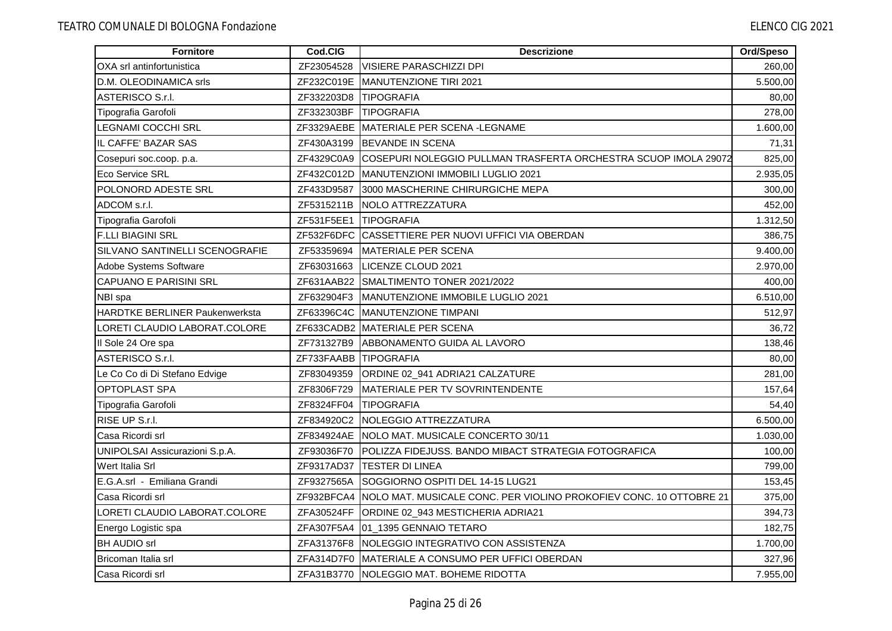| <b>Fornitore</b>                      | Cod.CIG               | <b>Descrizione</b>                                                            | Ord/Speso |
|---------------------------------------|-----------------------|-------------------------------------------------------------------------------|-----------|
| OXA srl antinfortunistica             | ZF23054528            | <b>VISIERE PARASCHIZZI DPI</b>                                                | 260,00    |
| D.M. OLEODINAMICA srls                | ZF232C019E            | <b>MANUTENZIONE TIRI 2021</b>                                                 | 5.500,00  |
| ASTERISCO S.r.I.                      | ZF332203D8            | <b>ITIPOGRAFIA</b>                                                            | 80,00     |
| Tipografia Garofoli                   | ZF332303BF            | TIPOGRAFIA                                                                    | 278,00    |
| <b>LEGNAMI COCCHI SRL</b>             |                       | ZF3329AEBE MATERIALE PER SCENA -LEGNAME                                       | 1.600,00  |
| IL CAFFE' BAZAR SAS                   | ZF430A3199            | <b>IBEVANDE IN SCENA</b>                                                      | 71,31     |
| Cosepuri soc.coop. p.a.               | ZF4329C0A9            | COSEPURI NOLEGGIO PULLMAN TRASFERTA ORCHESTRA SCUOP IMOLA 29072               | 825,00    |
| <b>Eco Service SRL</b>                | ZF432C012D            | MANUTENZIONI IMMOBILI LUGLIO 2021                                             | 2.935,05  |
| POLONORD ADESTE SRL                   | ZF433D9587            | 3000 MASCHERINE CHIRURGICHE MEPA                                              | 300,00    |
| ADCOM s.r.l.                          | ZF5315211B            | NOLO ATTREZZATURA                                                             | 452,00    |
| Tipografia Garofoli                   | ZF531F5EE1 TIPOGRAFIA |                                                                               | 1.312,50  |
| <b>F.LLI BIAGINI SRL</b>              |                       | ZF532F6DFC CASSETTIERE PER NUOVI UFFICI VIA OBERDAN                           | 386,75    |
| SILVANO SANTINELLI SCENOGRAFIE        | ZF53359694            | MATERIALE PER SCENA                                                           | 9.400,00  |
| Adobe Systems Software                | ZF63031663            | LICENZE CLOUD 2021                                                            | 2.970,00  |
| CAPUANO E PARISINI SRL                | ZF631AAB22            | SMALTIMENTO TONER 2021/2022                                                   | 400,00    |
| NBI spa                               | ZF632904F3            | MANUTENZIONE IMMOBILE LUGLIO 2021                                             | 6.510,00  |
| <b>HARDTKE BERLINER Paukenwerksta</b> | ZF63396C4C            | MANUTENZIONE TIMPANI                                                          | 512,97    |
| LORETI CLAUDIO LABORAT.COLORE         |                       | ZF633CADB2 MATERIALE PER SCENA                                                | 36,72     |
| Il Sole 24 Ore spa                    | ZF731327B9            | ABBONAMENTO GUIDA AL LAVORO                                                   | 138,46    |
| <b>ASTERISCO S.r.I.</b>               | ZF733FAABB TIPOGRAFIA |                                                                               | 80,00     |
| Le Co Co di Di Stefano Edvige         | ZF83049359            | ORDINE 02_941 ADRIA21 CALZATURE                                               | 281,00    |
| OPTOPLAST SPA                         | ZF8306F729            | MATERIALE PER TV SOVRINTENDENTE                                               | 157,64    |
| Tipografia Garofoli                   | ZF8324FF04            | <b>TIPOGRAFIA</b>                                                             | 54,40     |
| RISE UP S.r.l.                        |                       | ZF834920C2 NOLEGGIO ATTREZZATURA                                              | 6.500,00  |
| Casa Ricordi srl                      |                       | ZF834924AE NOLO MAT. MUSICALE CONCERTO 30/11                                  | 1.030,00  |
| UNIPOLSAI Assicurazioni S.p.A.        |                       | ZF93036F70   POLIZZA FIDEJUSS. BANDO MIBACT STRATEGIA FOTOGRAFICA             | 100,00    |
| Wert Italia Srl                       |                       | ZF9317AD37  TESTER DI LINEA                                                   | 799,00    |
| E.G.A.srl - Emiliana Grandi           | ZF9327565A            | SOGGIORNO OSPITI DEL 14-15 LUG21                                              | 153,45    |
| Casa Ricordi srl                      |                       | ZF932BFCA4 NOLO MAT. MUSICALE CONC. PER VIOLINO PROKOFIEV CONC. 10 OTTOBRE 21 | 375,00    |
| LORETI CLAUDIO LABORAT.COLORE         |                       | ZFA30524FF ORDINE 02_943 MESTICHERIA ADRIA21                                  | 394,73    |
| Energo Logistic spa                   |                       | ZFA307F5A4 01_1395 GENNAIO TETARO                                             | 182,75    |
| <b>BH AUDIO srl</b>                   |                       | ZFA31376F8 NOLEGGIO INTEGRATIVO CON ASSISTENZA                                | 1.700,00  |
| Bricoman Italia srl                   |                       | ZFA314D7F0 IMATERIALE A CONSUMO PER UFFICI OBERDAN                            | 327,96    |
| Casa Ricordi srl                      |                       | ZFA31B3770   NOLEGGIO MAT. BOHEME RIDOTTA                                     | 7.955,00  |